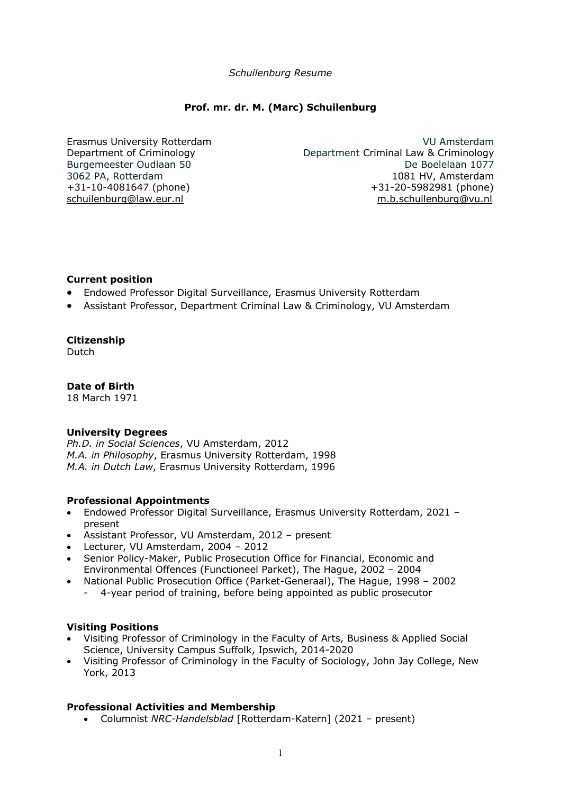## *Schuilenburg Resume*

# **Prof. mr. dr. M. (Marc) Schuilenburg**

Erasmus University Rotterdam Department of Criminology Burgemeester Oudlaan 50 3062 PA, Rotterdam +31-10-4081647 (phone) schuilenburg@law.eur.nl

VU Amsterdam Department Criminal Law & Criminology De Boelelaan 1077 1081 HV, Amsterdam +31-20-5982981 (phone) m.b.schuilenburg@vu.nl

## **Current position**

- Endowed Professor Digital Surveillance, Erasmus University Rotterdam
- Assistant Professor, Department Criminal Law & Criminology, VU Amsterdam

## **Citizenship**

Dutch

# **Date of Birth**

18 March 1971

# **University Degrees**

*Ph.D. in Social Sciences*, VU Amsterdam, 2012 *M.A. in Philosophy*, Erasmus University Rotterdam, 1998 *M.A. in Dutch Law*, Erasmus University Rotterdam, 1996

#### **Professional Appointments**

- Endowed Professor Digital Surveillance, Erasmus University Rotterdam, 2021 present
- Assistant Professor, VU Amsterdam, 2012 present
- Lecturer, VU Amsterdam, 2004 2012
- Senior Policy-Maker, Public Prosecution Office for Financial, Economic and Environmental Offences (Functioneel Parket), The Hague, 2002 – 2004
- National Public Prosecution Office (Parket-Generaal), The Hague, 1998 2002 - 4-year period of training, before being appointed as public prosecutor

#### **Visiting Positions**

- Visiting Professor of Criminology in the Faculty of Arts, Business & Applied Social Science, University Campus Suffolk, Ipswich, 2014-2020
- Visiting Professor of Criminology in the Faculty of Sociology, John Jay College, New York, 2013

# **Professional Activities and Membership**

• Columnist *NRC-Handelsblad* [Rotterdam-Katern] (2021 – present)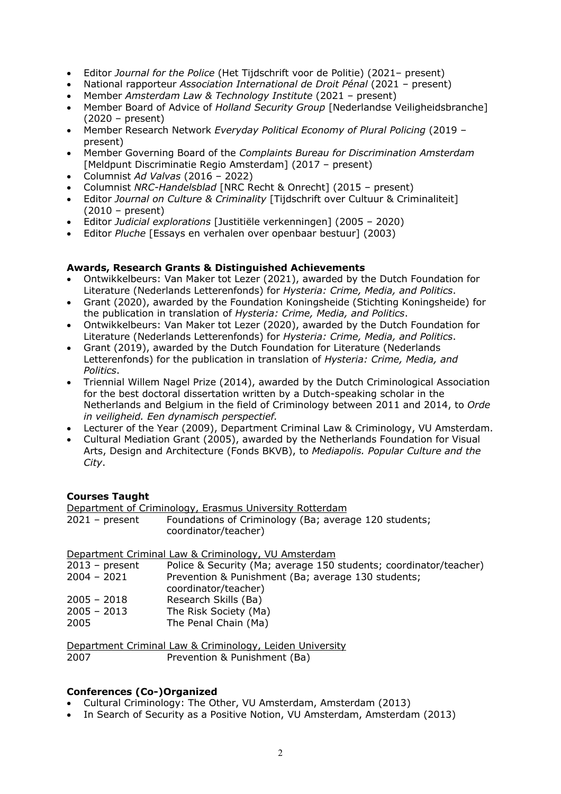- Editor *Journal for the Police* (Het Tijdschrift voor de Politie) (2021– present)
- National rapporteur *Association International de Droit Pénal* (2021 present)
- Member *Amsterdam Law & Technology Institute* (2021 present)
- Member Board of Advice of *Holland Security Group* [Nederlandse Veiligheidsbranche] (2020 – present)
- Member Research Network *Everyday Political Economy of Plural Policing* (2019 present)
- Member Governing Board of the *Complaints Bureau for Discrimination Amsterdam* [Meldpunt Discriminatie Regio Amsterdam] (2017 – present)
- Columnist *Ad Valvas* (2016 2022)
- Columnist *NRC-Handelsblad* [NRC Recht & Onrecht] (2015 present)
- Editor *Journal on Culture & Criminality* [Tijdschrift over Cultuur & Criminaliteit] (2010 – present)
- Editor *Judicial explorations* [Justitiële verkenningen] (2005 2020)
- Editor *Pluche* [Essays en verhalen over openbaar bestuur] (2003)

## **Awards, Research Grants & Distinguished Achievements**

- Ontwikkelbeurs: Van Maker tot Lezer (2021), awarded by the Dutch Foundation for Literature (Nederlands Letterenfonds) for *Hysteria: Crime, Media, and Politics*.
- Grant (2020), awarded by the Foundation Koningsheide (Stichting Koningsheide) for the publication in translation of *Hysteria: Crime, Media, and Politics*.
- Ontwikkelbeurs: Van Maker tot Lezer (2020), awarded by the Dutch Foundation for Literature (Nederlands Letterenfonds) for *Hysteria: Crime, Media, and Politics*.
- Grant (2019), awarded by the Dutch Foundation for Literature (Nederlands Letterenfonds) for the publication in translation of *Hysteria: Crime, Media, and Politics*.
- Triennial Willem Nagel Prize (2014), awarded by the Dutch Criminological Association for the best doctoral dissertation written by a Dutch-speaking scholar in the Netherlands and Belgium in the field of Criminology between 2011 and 2014, to *Orde in veiligheid. Een dynamisch perspectief.*
- Lecturer of the Year (2009), Department Criminal Law & Criminology, VU Amsterdam.
- Cultural Mediation Grant (2005), awarded by the Netherlands Foundation for Visual Arts, Design and Architecture (Fonds BKVB), to *Mediapolis. Popular Culture and the City*.

# **Courses Taught**

|                | Department of Criminology, Erasmus University Rotterdam                       |
|----------------|-------------------------------------------------------------------------------|
| 2021 - present | Foundations of Criminology (Ba; average 120 students;<br>coordinator/teacher) |

|                  | Department Criminal Law & Criminology, VU Amsterdam               |
|------------------|-------------------------------------------------------------------|
| $2013$ – present | Police & Security (Ma; average 150 students; coordinator/teacher) |
| $2004 - 2021$    | Prevention & Punishment (Ba; average 130 students;                |
|                  | coordinator/teacher)                                              |
| $2005 - 2018$    | Research Skills (Ba)                                              |
| $2005 - 2013$    | The Risk Society (Ma)                                             |
| 2005             | The Penal Chain (Ma)                                              |
|                  |                                                                   |

Department Criminal Law & Criminology, Leiden University 2007 Prevention & Punishment (Ba)

# **Conferences (Co-)Organized**

- Cultural Criminology: The Other, VU Amsterdam, Amsterdam (2013)
- In Search of Security as a Positive Notion, VU Amsterdam, Amsterdam (2013)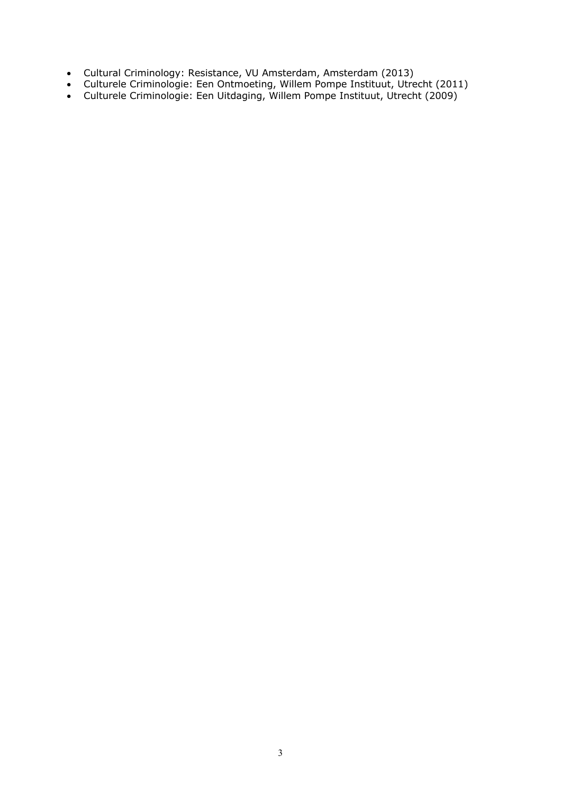- Cultural Criminology: Resistance, VU Amsterdam, Amsterdam (2013)
- Culturele Criminologie: Een Ontmoeting, Willem Pompe Instituut, Utrecht (2011)
- Culturele Criminologie: Een Uitdaging, Willem Pompe Instituut, Utrecht (2009)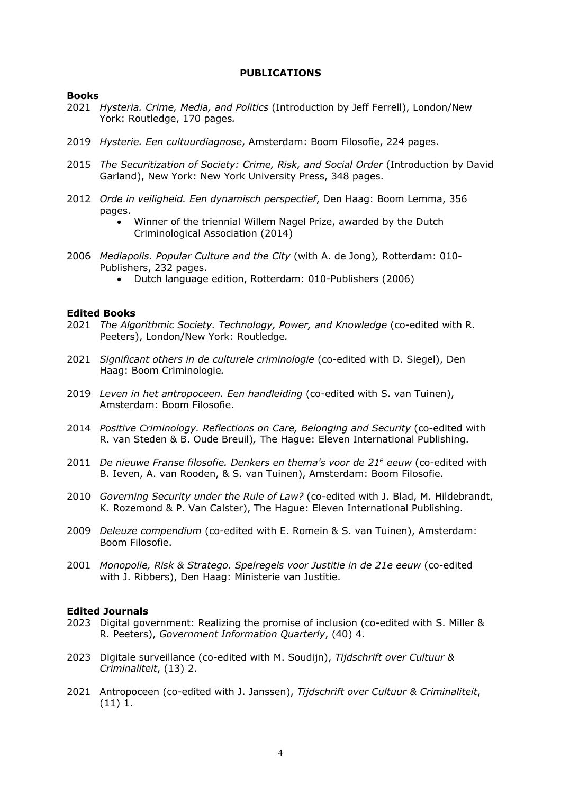## **PUBLICATIONS**

#### **Books**

- 2021 *Hysteria. Crime, Media, and Politics* (Introduction by Jeff Ferrell), London/New York: Routledge, 170 pages*.*
- 2019 *Hysterie. Een cultuurdiagnose*, Amsterdam: Boom Filosofie, 224 pages.
- 2015 *The Securitization of Society: Crime, Risk, and Social Order* (Introduction by David Garland), New York: New York University Press, 348 pages.
- 2012 *Orde in veiligheid. Een dynamisch perspectief*, Den Haag: Boom Lemma, 356 pages.
	- Winner of the triennial Willem Nagel Prize, awarded by the Dutch Criminological Association (2014)
- 2006 *Mediapolis. Popular Culture and the City* (with A. de Jong)*,* Rotterdam: 010- Publishers, 232 pages.
	- Dutch language edition, Rotterdam: 010-Publishers (2006)

#### **Edited Books**

- 2021 *The Algorithmic Society. Technology, Power, and Knowledge* (co-edited with R. Peeters), London/New York: Routledge*.*
- 2021 *Significant others in de culturele criminologie* (co-edited with D. Siegel), Den Haag: Boom Criminologie*.*
- 2019 *Leven in het antropoceen. Een handleiding* (co-edited with S. van Tuinen), Amsterdam: Boom Filosofie.
- 2014 *Positive Criminology. Reflections on Care, Belonging and Security* (co-edited with R. van Steden & B. Oude Breuil)*,* The Hague: Eleven International Publishing.
- 2011 *De nieuwe Franse filosofie. Denkers en thema's voor de 21e eeuw* (co-edited with B. Ieven, A. van Rooden, & S. van Tuinen), Amsterdam: Boom Filosofie.
- 2010 *Governing Security under the Rule of Law?* (co-edited with J. Blad, M. Hildebrandt, K. Rozemond & P. Van Calster), The Hague: Eleven International Publishing.
- 2009 *Deleuze compendium* (co-edited with E. Romein & S. van Tuinen), Amsterdam: Boom Filosofie.
- 2001 *Monopolie, Risk & Stratego. Spelregels voor Justitie in de 21e eeuw* (co-edited with J. Ribbers), Den Haag: Ministerie van Justitie.

#### **Edited Journals**

- 2023 Digital government: Realizing the promise of inclusion (co-edited with S. Miller & R. Peeters), *Government Information Quarterly*, (40) 4.
- 2023 Digitale surveillance (co-edited with M. Soudijn), *Tijdschrift over Cultuur & Criminaliteit*, (13) 2.
- 2021 Antropoceen (co-edited with J. Janssen), *Tijdschrift over Cultuur & Criminaliteit*, (11) 1.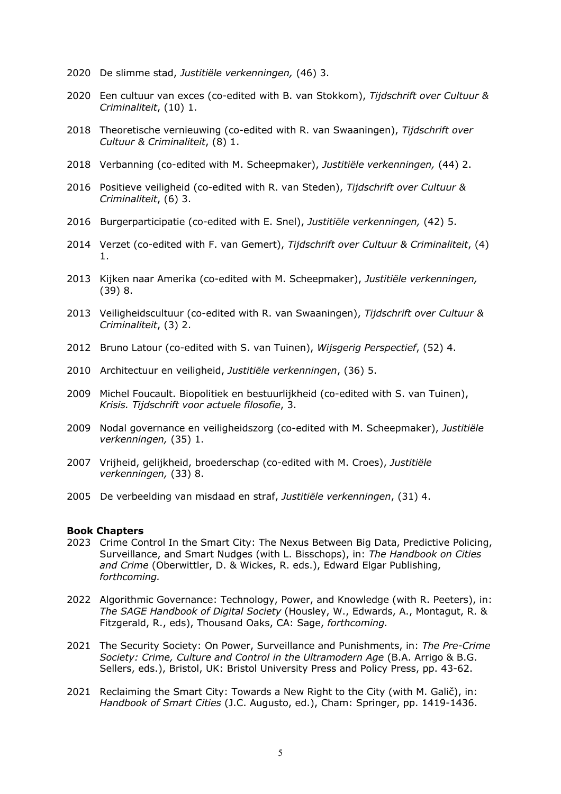- 2020 De slimme stad, *Justitiële verkenningen,* (46) 3.
- 2020 Een cultuur van exces (co-edited with B. van Stokkom), *Tijdschrift over Cultuur & Criminaliteit*, (10) 1.
- 2018 Theoretische vernieuwing (co-edited with R. van Swaaningen), *Tijdschrift over Cultuur & Criminaliteit*, (8) 1.
- 2018 Verbanning (co-edited with M. Scheepmaker), *Justitiële verkenningen,* (44) 2.
- 2016 Positieve veiligheid (co-edited with R. van Steden), *Tijdschrift over Cultuur & Criminaliteit*, (6) 3.
- 2016 Burgerparticipatie (co-edited with E. Snel), *Justitiële verkenningen,* (42) 5.
- 2014 Verzet (co-edited with F. van Gemert), *Tijdschrift over Cultuur & Criminaliteit*, (4) 1.
- 2013 Kijken naar Amerika (co-edited with M. Scheepmaker), *Justitiële verkenningen,* (39) 8.
- 2013 Veiligheidscultuur (co-edited with R. van Swaaningen), *Tijdschrift over Cultuur & Criminaliteit*, (3) 2.
- 2012 Bruno Latour (co-edited with S. van Tuinen), *Wijsgerig Perspectief*, (52) 4.
- 2010 Architectuur en veiligheid, *Justitiële verkenningen*, (36) 5.
- 2009 Michel Foucault. Biopolitiek en bestuurlijkheid (co-edited with S. van Tuinen), *Krisis. Tijdschrift voor actuele filosofie*, 3.
- 2009 Nodal governance en veiligheidszorg (co-edited with M. Scheepmaker), *Justitiële verkenningen,* (35) 1.
- 2007 Vrijheid, gelijkheid, broederschap (co-edited with M. Croes), *Justitiële verkenningen,* (33) 8.
- 2005 De verbeelding van misdaad en straf, *Justitiële verkenningen*, (31) 4.

#### **Book Chapters**

- 2023 Crime Control In the Smart City: The Nexus Between Big Data, Predictive Policing, Surveillance, and Smart Nudges (with L. Bisschops), in: *The Handbook on Cities and Crime* (Oberwittler, D. & Wickes, R. eds.), Edward Elgar Publishing, *forthcoming.*
- 2022 Algorithmic Governance: Technology, Power, and Knowledge (with R. Peeters), in: *The SAGE Handbook of Digital Society* (Housley, W., Edwards, A., Montagut, R. & Fitzgerald, R., eds), Thousand Oaks, CA: Sage, *forthcoming.*
- 2021 The Security Society: On Power, Surveillance and Punishments, in: *The Pre-Crime Society: Crime, Culture and Control in the Ultramodern Age* (B.A. Arrigo & B.G. Sellers, eds.), Bristol, UK: Bristol University Press and Policy Press, pp. 43-62.
- 2021 Reclaiming the Smart City: Towards a New Right to the City (with M. Galič), in: *Handbook of Smart Cities* (J.C. Augusto, ed.), Cham: Springer, pp. 1419-1436.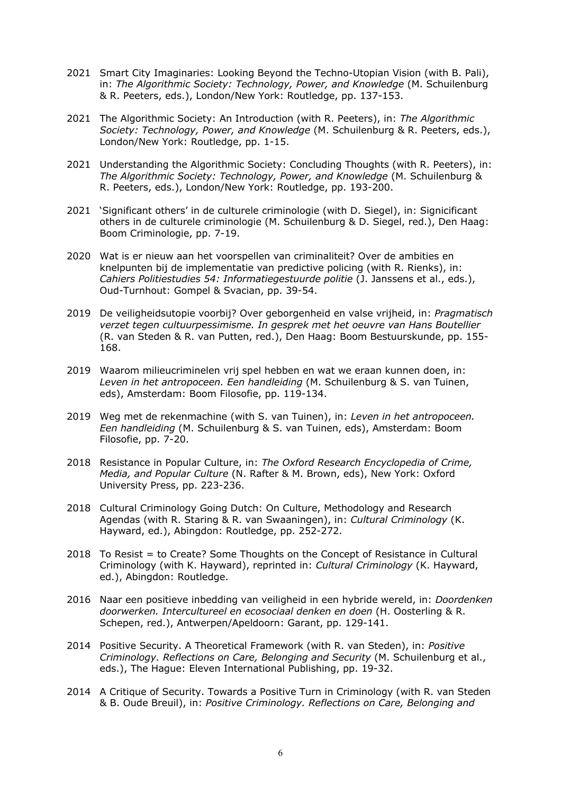- 2021 Smart City Imaginaries: Looking Beyond the Techno-Utopian Vision (with B. Pali), in: *The Algorithmic Society: Technology, Power, and Knowledge* (M. Schuilenburg & R. Peeters, eds.), London/New York: Routledge, pp. 137-153.
- 2021 The Algorithmic Society: An Introduction (with R. Peeters), in: *The Algorithmic Society: Technology, Power, and Knowledge* (M. Schuilenburg & R. Peeters, eds.), London/New York: Routledge, pp. 1-15.
- 2021 Understanding the Algorithmic Society: Concluding Thoughts (with R. Peeters), in: *The Algorithmic Society: Technology, Power, and Knowledge* (M. Schuilenburg & R. Peeters, eds.), London/New York: Routledge, pp. 193-200.
- 2021 'Significant others' in de culturele criminologie (with D. Siegel), in: Signicificant others in de culturele criminologie (M. Schuilenburg & D. Siegel, red.), Den Haag: Boom Criminologie, pp. 7-19.
- 2020 Wat is er nieuw aan het voorspellen van criminaliteit? Over de ambities en knelpunten bij de implementatie van predictive policing (with R. Rienks), in: *Cahiers Politiestudies 54: Informatiegestuurde politie* (J. Janssens et al., eds.), Oud-Turnhout: Gompel & Svacian, pp. 39-54.
- 2019 De veiligheidsutopie voorbij? Over geborgenheid en valse vrijheid, in: *Pragmatisch verzet tegen cultuurpessimisme. In gesprek met het oeuvre van Hans Boutellier* (R. van Steden & R. van Putten, red.), Den Haag: Boom Bestuurskunde, pp. 155- 168.
- 2019 Waarom milieucriminelen vrij spel hebben en wat we eraan kunnen doen, in: *Leven in het antropoceen. Een handleiding* (M. Schuilenburg & S. van Tuinen, eds), Amsterdam: Boom Filosofie, pp. 119-134.
- 2019 Weg met de rekenmachine (with S. van Tuinen), in: *Leven in het antropoceen. Een handleiding* (M. Schuilenburg & S. van Tuinen, eds), Amsterdam: Boom Filosofie, pp. 7-20.
- 2018 Resistance in Popular Culture, in: *The Oxford Research Encyclopedia of Crime, Media, and Popular Culture* (N. Rafter & M. Brown, eds), New York: Oxford University Press, pp. 223-236.
- 2018 Cultural Criminology Going Dutch: On Culture, Methodology and Research Agendas (with R. Staring & R. van Swaaningen), in: *Cultural Criminology* (K. Hayward, ed.), Abingdon: Routledge, pp. 252-272.
- 2018 To Resist = to Create? Some Thoughts on the Concept of Resistance in Cultural Criminology (with K. Hayward), reprinted in: *Cultural Criminology* (K. Hayward, ed.), Abingdon: Routledge.
- 2016 Naar een positieve inbedding van veiligheid in een hybride wereld, in: *Doordenken doorwerken. Intercultureel en ecosociaal denken en doen* (H. Oosterling & R. Schepen, red.), Antwerpen/Apeldoorn: Garant, pp. 129-141.
- 2014 Positive Security. A Theoretical Framework (with R. van Steden), in: *Positive Criminology. Reflections on Care, Belonging and Security* (M. Schuilenburg et al., eds.), The Hague: Eleven International Publishing, pp. 19-32.
- 2014 A Critique of Security. Towards a Positive Turn in Criminology (with R. van Steden & B. Oude Breuil), in: *Positive Criminology. Reflections on Care, Belonging and*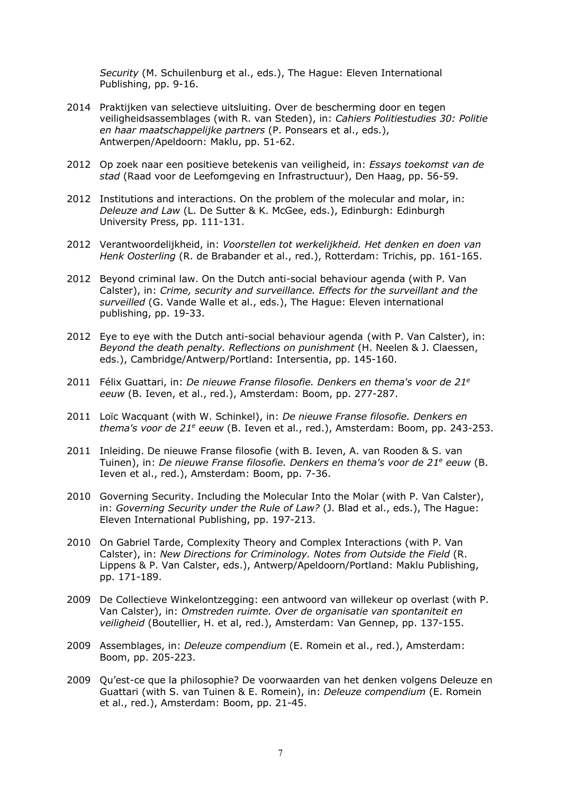*Security* (M. Schuilenburg et al., eds.), The Hague: Eleven International Publishing, pp. 9-16.

- 2014 Praktijken van selectieve uitsluiting. Over de bescherming door en tegen veiligheidsassemblages (with R. van Steden), in: *Cahiers Politiestudies 30: Politie en haar maatschappelijke partners* (P. Ponsears et al., eds.), Antwerpen/Apeldoorn: Maklu, pp. 51-62.
- 2012 Op zoek naar een positieve betekenis van veiligheid, in: *Essays toekomst van de stad* (Raad voor de Leefomgeving en Infrastructuur), Den Haag, pp. 56-59.
- 2012 Institutions and interactions. On the problem of the molecular and molar, in: *Deleuze and Law* (L. De Sutter & K. McGee, eds.), Edinburgh: Edinburgh University Press, pp. 111-131.
- 2012 Verantwoordelijkheid, in: *Voorstellen tot werkelijkheid. Het denken en doen van Henk Oosterling* (R. de Brabander et al., red.), Rotterdam: Trichis, pp. 161-165.
- 2012 Beyond criminal law. On the Dutch anti-social behaviour agenda (with P. Van Calster), in: *Crime, security and surveillance. Effects for the surveillant and the surveilled* (G. Vande Walle et al., eds.), The Hague: Eleven international publishing, pp. 19-33.
- 2012 Eye to eye with the Dutch anti-social behaviour agenda (with P. Van Calster), in: *Beyond the death penalty. Reflections on punishment* (H. Neelen & J. Claessen, eds.), Cambridge/Antwerp/Portland: Intersentia, pp. 145-160.
- 2011 Félix Guattari, in: *De nieuwe Franse filosofie. Denkers en thema's voor de 21e eeuw* (B. Ieven, et al., red.), Amsterdam: Boom, pp. 277-287.
- 2011 Loïc Wacquant (with W. Schinkel), in: *De nieuwe Franse filosofie. Denkers en thema's voor de 21e eeuw* (B. Ieven et al., red.), Amsterdam: Boom, pp. 243-253.
- 2011 Inleiding. De nieuwe Franse filosofie (with B. Ieven, A. van Rooden & S. van Tuinen), in: *De nieuwe Franse filosofie. Denkers en thema's voor de 21e eeuw* (B. Ieven et al., red.), Amsterdam: Boom, pp. 7-36.
- 2010 Governing Security. Including the Molecular Into the Molar (with P. Van Calster), in: *Governing Security under the Rule of Law?* (J. Blad et al., eds.), The Hague: Eleven International Publishing, pp. 197-213.
- 2010 On Gabriel Tarde, Complexity Theory and Complex Interactions (with P. Van Calster), in: *New Directions for Criminology. Notes from Outside the Field* (R. Lippens & P. Van Calster, eds.), Antwerp/Apeldoorn/Portland: Maklu Publishing, pp. 171-189.
- 2009 De Collectieve Winkelontzegging: een antwoord van willekeur op overlast (with P. Van Calster), in: *Omstreden ruimte. Over de organisatie van spontaniteit en veiligheid* (Boutellier, H. et al, red.), Amsterdam: Van Gennep, pp. 137-155.
- 2009 Assemblages, in: *Deleuze compendium* (E. Romein et al., red.), Amsterdam: Boom, pp. 205-223.
- 2009 Qu'est-ce que la philosophie? De voorwaarden van het denken volgens Deleuze en Guattari (with S. van Tuinen & E. Romein), in: *Deleuze compendium* (E. Romein et al., red.), Amsterdam: Boom, pp. 21-45.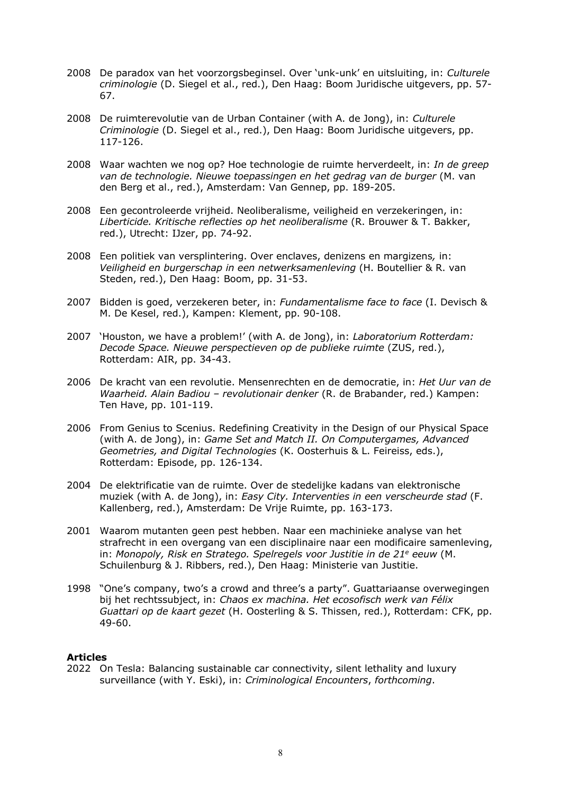- 2008 De paradox van het voorzorgsbeginsel. Over 'unk-unk' en uitsluiting, in: *Culturele criminologie* (D. Siegel et al., red.), Den Haag: Boom Juridische uitgevers, pp. 57- 67.
- 2008 De ruimterevolutie van de Urban Container (with A. de Jong), in: *Culturele Criminologie* (D. Siegel et al., red.), Den Haag: Boom Juridische uitgevers, pp. 117-126.
- 2008 Waar wachten we nog op? Hoe technologie de ruimte herverdeelt, in: *In de greep van de technologie. Nieuwe toepassingen en het gedrag van de burger* (M. van den Berg et al., red.), Amsterdam: Van Gennep, pp. 189-205.
- 2008 Een gecontroleerde vrijheid. Neoliberalisme, veiligheid en verzekeringen, in: *Liberticide. Kritische reflecties op het neoliberalisme* (R. Brouwer & T. Bakker, red.), Utrecht: IJzer, pp. 74-92.
- 2008 Een politiek van versplintering. Over enclaves, denizens en margizens*,* in: *Veiligheid en burgerschap in een netwerksamenleving* (H. Boutellier & R. van Steden, red.), Den Haag: Boom, pp. 31-53.
- 2007 Bidden is goed, verzekeren beter, in: *Fundamentalisme face to face* (I. Devisch & M. De Kesel, red.), Kampen: Klement, pp. 90-108.
- 2007 'Houston, we have a problem!' (with A. de Jong), in: *Laboratorium Rotterdam: Decode Space. Nieuwe perspectieven op de publieke ruimte* (ZUS, red.), Rotterdam: AIR, pp. 34-43.
- 2006 De kracht van een revolutie. Mensenrechten en de democratie, in: *Het Uur van de Waarheid. Alain Badiou – revolutionair denker* (R. de Brabander, red.) Kampen: Ten Have, pp. 101-119.
- 2006 From Genius to Scenius. Redefining Creativity in the Design of our Physical Space (with A. de Jong), in: *Game Set and Match II. On Computergames, Advanced Geometries, and Digital Technologies* (K. Oosterhuis & L. Feireiss, eds.), Rotterdam: Episode, pp. 126-134.
- 2004 De elektrificatie van de ruimte. Over de stedelijke kadans van elektronische muziek (with A. de Jong), in: *Easy City. Interventies in een verscheurde stad* (F. Kallenberg, red.), Amsterdam: De Vrije Ruimte, pp. 163-173.
- 2001 Waarom mutanten geen pest hebben. Naar een machinieke analyse van het strafrecht in een overgang van een disciplinaire naar een modificaire samenleving, in: *Monopoly, Risk en Stratego. Spelregels voor Justitie in de 21e eeuw* (M. Schuilenburg & J. Ribbers, red.), Den Haag: Ministerie van Justitie.
- 1998 "One's company, two's a crowd and three's a party". Guattariaanse overwegingen bij het rechtssubject, in: *Chaos ex machina. Het ecosofisch werk van Félix Guattari op de kaart gezet* (H. Oosterling & S. Thissen, red.), Rotterdam: CFK, pp. 49-60.

# **Articles**

2022 On Tesla: Balancing sustainable car connectivity, silent lethality and luxury surveillance (with Y. Eski), in: *Criminological Encounters*, *forthcoming*.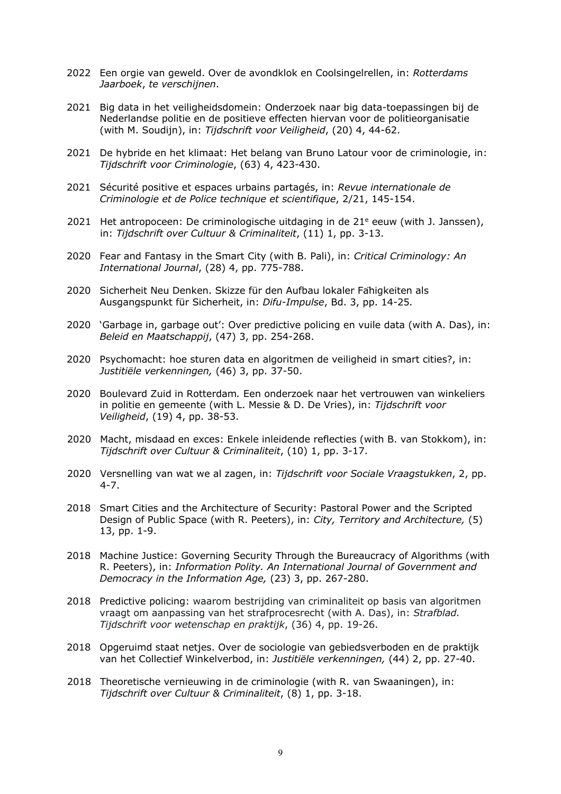- 2022 Een orgie van geweld. Over de avondklok en Coolsingelrellen, in: *Rotterdams Jaarboek*, *te verschijnen*.
- 2021 Big data in het veiligheidsdomein: Onderzoek naar big data-toepassingen bij de Nederlandse politie en de positieve effecten hiervan voor de politieorganisatie (with M. Soudijn), in: *Tijdschrift voor Veiligheid*, (20) 4, 44-62.
- 2021 De hybride en het klimaat: Het belang van Bruno Latour voor de criminologie, in: *Tijdschrift voor Criminologie*, (63) 4, 423-430.
- 2021 Sécurité positive et espaces urbains partagés, in: *Revue internationale de Criminologie et de Police technique et scientifique*, 2/21, 145-154.
- 2021 Het antropoceen: De criminologische uitdaging in de  $21^e$  eeuw (with J. Janssen), in: *Tijdschrift over Cultuur & Criminaliteit*, (11) 1, pp. 3-13.
- 2020 Fear and Fantasy in the Smart City (with B. Pali), in: *Critical Criminology: An International Journal*, (28) 4, pp. 775-788.
- 2020 Sicherheit Neu Denken. Skizze für den Aufbau lokaler Fähigkeiten als Ausgangspunkt für Sicherheit, in: *Difu-Impulse*, Bd. 3, pp. 14-25*.*
- 2020 'Garbage in, garbage out': Over predictive policing en vuile data (with A. Das), in: *Beleid en Maatschappij*, (47) 3, pp. 254-268.
- 2020 Psychomacht: hoe sturen data en algoritmen de veiligheid in smart cities?, in: *Justitiële verkenningen,* (46) 3, pp. 37-50.
- 2020 Boulevard Zuid in Rotterdam*.* Een onderzoek naar het vertrouwen van winkeliers in politie en gemeente (with L. Messie & D. De Vries), in: *Tijdschrift voor Veiligheid*, (19) 4, pp. 38-53.
- 2020 Macht, misdaad en exces: Enkele inleidende reflecties (with B. van Stokkom), in: *Tijdschrift over Cultuur & Criminaliteit*, (10) 1, pp. 3-17.
- 2020 Versnelling van wat we al zagen, in: *Tijdschrift voor Sociale Vraagstukken*, 2, pp. 4-7.
- 2018 Smart Cities and the Architecture of Security: Pastoral Power and the Scripted Design of Public Space (with R. Peeters), in: *City, Territory and Architecture,* (5) 13, pp. 1-9.
- 2018 Machine Justice: Governing Security Through the Bureaucracy of Algorithms (with R. Peeters), in: *Information Polity. An International Journal of Government and Democracy in the Information Age,* (23) 3, pp. 267-280.
- 2018 Predictive policing: waarom bestrijding van criminaliteit op basis van algoritmen vraagt om aanpassing van het strafprocesrecht (with A. Das), in: *Strafblad. Tijdschrift voor wetenschap en praktijk*, (36) 4, pp. 19-26.
- 2018 Opgeruimd staat netjes. Over de sociologie van gebiedsverboden en de praktijk van het Collectief Winkelverbod, in: *Justitiële verkenningen,* (44) 2, pp. 27-40.
- 2018 Theoretische vernieuwing in de criminologie (with R. van Swaaningen), in: *Tijdschrift over Cultuur & Criminaliteit*, (8) 1, pp. 3-18.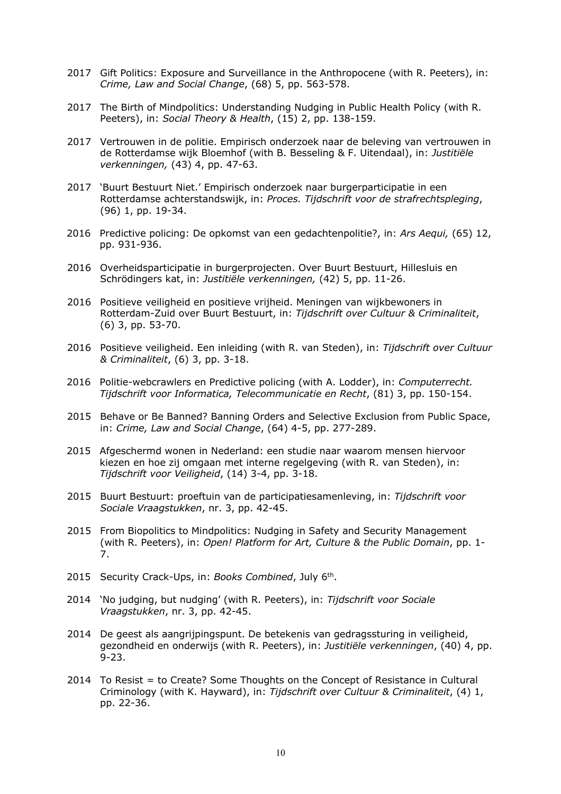- 2017 Gift Politics: Exposure and Surveillance in the Anthropocene (with R. Peeters), in: *Crime, Law and Social Change*, (68) 5, pp. 563-578.
- 2017 The Birth of Mindpolitics: Understanding Nudging in Public Health Policy (with R. Peeters), in: *Social Theory & Health*, (15) 2, pp. 138-159.
- 2017 Vertrouwen in de politie. Empirisch onderzoek naar de beleving van vertrouwen in de Rotterdamse wijk Bloemhof (with B. Besseling & F. Uitendaal), in: *Justitiële verkenningen,* (43) 4, pp. 47-63.
- 2017 'Buurt Bestuurt Niet.' Empirisch onderzoek naar burgerparticipatie in een Rotterdamse achterstandswijk, in: *Proces. Tijdschrift voor de strafrechtspleging*, (96) 1, pp. 19-34.
- 2016 Predictive policing: De opkomst van een gedachtenpolitie?, in: *Ars Aequi,* (65) 12, pp. 931-936.
- 2016 Overheidsparticipatie in burgerprojecten. Over Buurt Bestuurt, Hillesluis en Schrödingers kat, in: *Justitiële verkenningen,* (42) 5, pp. 11-26.
- 2016 Positieve veiligheid en positieve vrijheid. Meningen van wijkbewoners in Rotterdam-Zuid over Buurt Bestuurt, in: *Tijdschrift over Cultuur & Criminaliteit*, (6) 3, pp. 53-70.
- 2016 Positieve veiligheid. Een inleiding (with R. van Steden), in: *Tijdschrift over Cultuur & Criminaliteit*, (6) 3, pp. 3-18.
- 2016 Politie-webcrawlers en Predictive policing (with A. Lodder), in: *Computerrecht. Tijdschrift voor Informatica, Telecommunicatie en Recht*, (81) 3, pp. 150-154.
- 2015 Behave or Be Banned? Banning Orders and Selective Exclusion from Public Space, in: *Crime, Law and Social Change*, (64) 4-5, pp. 277-289.
- 2015 Afgeschermd wonen in Nederland: een studie naar waarom mensen hiervoor kiezen en hoe zij omgaan met interne regelgeving (with R. van Steden), in: *Tijdschrift voor Veiligheid*, (14) 3-4, pp. 3-18.
- 2015 Buurt Bestuurt: proeftuin van de participatiesamenleving, in: *Tijdschrift voor Sociale Vraagstukken*, nr. 3, pp. 42-45.
- 2015 From Biopolitics to Mindpolitics: Nudging in Safety and Security Management (with R. Peeters), in: *Open! Platform for Art, Culture & the Public Domain*, pp. 1- 7.
- 2015 Security Crack-Ups, in: *Books Combined*, July 6th.
- 2014 'No judging, but nudging' (with R. Peeters), in: *Tijdschrift voor Sociale Vraagstukken*, nr. 3, pp. 42-45.
- 2014 De geest als aangrijpingspunt. De betekenis van gedragssturing in veiligheid, gezondheid en onderwijs (with R. Peeters), in: *Justitiële verkenningen*, (40) 4, pp. 9-23.
- 2014 To Resist = to Create? Some Thoughts on the Concept of Resistance in Cultural Criminology (with K. Hayward), in: *Tijdschrift over Cultuur & Criminaliteit*, (4) 1, pp. 22-36.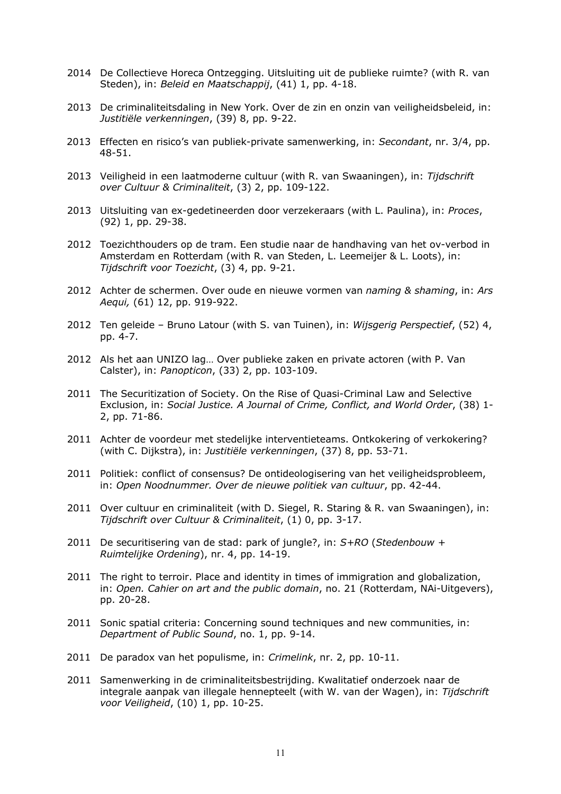- 2014 De Collectieve Horeca Ontzegging. Uitsluiting uit de publieke ruimte? (with R. van Steden), in: *Beleid en Maatschappij*, (41) 1, pp. 4-18.
- 2013 De criminaliteitsdaling in New York. Over de zin en onzin van veiligheidsbeleid, in: *Justitiële verkenningen*, (39) 8, pp. 9-22.
- 2013 Effecten en risico's van publiek-private samenwerking, in: *Secondant*, nr. 3/4, pp. 48-51.
- 2013 Veiligheid in een laatmoderne cultuur (with R. van Swaaningen), in: *Tijdschrift over Cultuur & Criminaliteit*, (3) 2, pp. 109-122.
- 2013 Uitsluiting van ex-gedetineerden door verzekeraars (with L. Paulina), in: *Proces*, (92) 1, pp. 29-38.
- 2012 Toezichthouders op de tram. Een studie naar de handhaving van het ov-verbod in Amsterdam en Rotterdam (with R. van Steden, L. Leemeijer & L. Loots), in: *Tijdschrift voor Toezicht*, (3) 4, pp. 9-21.
- 2012 Achter de schermen. Over oude en nieuwe vormen van *naming & shaming*, in: *Ars Aequi,* (61) 12, pp. 919-922.
- 2012 Ten geleide Bruno Latour (with S. van Tuinen), in: *Wijsgerig Perspectief*, (52) 4, pp. 4-7.
- 2012 Als het aan UNIZO lag… Over publieke zaken en private actoren (with P. Van Calster), in: *Panopticon*, (33) 2, pp. 103-109.
- 2011 The Securitization of Society. On the Rise of Quasi-Criminal Law and Selective Exclusion, in: *Social Justice. A Journal of Crime, Conflict, and World Order*, (38) 1- 2, pp. 71-86.
- 2011 Achter de voordeur met stedelijke interventieteams. Ontkokering of verkokering? (with C. Dijkstra), in: *Justitiële verkenningen*, (37) 8, pp. 53-71.
- 2011 Politiek: conflict of consensus? De ontideologisering van het veiligheidsprobleem, in: *Open Noodnummer. Over de nieuwe politiek van cultuur*, pp. 42-44.
- 2011 Over cultuur en criminaliteit (with D. Siegel, R. Staring & R. van Swaaningen), in: *Tijdschrift over Cultuur & Criminaliteit*, (1) 0, pp. 3-17.
- 2011 De securitisering van de stad: park of jungle?, in: *S+RO* (*Stedenbouw + Ruimtelijke Ordening*), nr. 4, pp. 14-19.
- 2011 The right to terroir. Place and identity in times of immigration and globalization, in: *Open. Cahier on art and the public domain*, no. 21 (Rotterdam, NAi-Uitgevers), pp. 20-28.
- 2011 Sonic spatial criteria: Concerning sound techniques and new communities, in: *Department of Public Sound*, no. 1, pp. 9-14.
- 2011 De paradox van het populisme, in: *Crimelink*, nr. 2, pp. 10-11.
- 2011 Samenwerking in de criminaliteitsbestrijding. Kwalitatief onderzoek naar de integrale aanpak van illegale hennepteelt (with W. van der Wagen), in: *Tijdschrift voor Veiligheid*, (10) 1, pp. 10-25.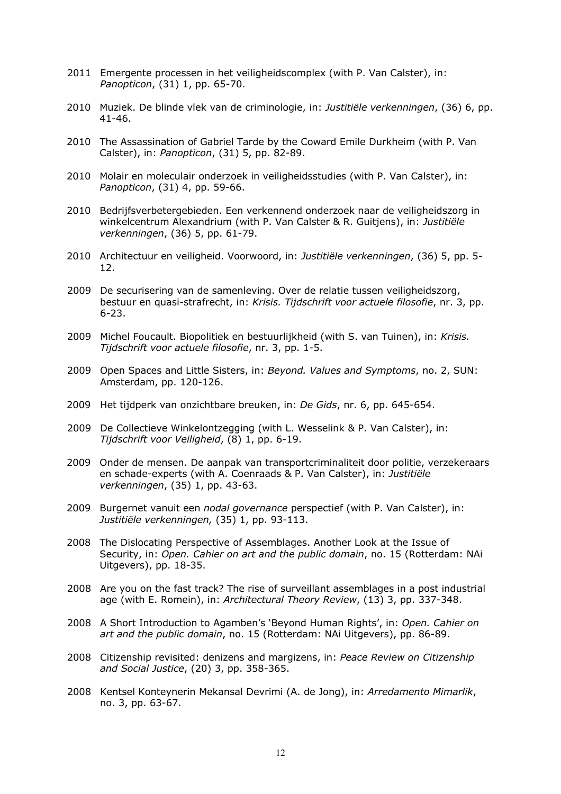- 2011 Emergente processen in het veiligheidscomplex (with P. Van Calster), in: *Panopticon*, (31) 1, pp. 65-70.
- 2010 Muziek. De blinde vlek van de criminologie, in: *Justitiële verkenningen*, (36) 6, pp. 41-46.
- 2010 The Assassination of Gabriel Tarde by the Coward Emile Durkheim (with P. Van Calster), in: *Panopticon*, (31) 5, pp. 82-89.
- 2010 Molair en moleculair onderzoek in veiligheidsstudies (with P. Van Calster), in: *Panopticon*, (31) 4, pp. 59-66.
- 2010 Bedrijfsverbetergebieden. Een verkennend onderzoek naar de veiligheidszorg in winkelcentrum Alexandrium (with P. Van Calster & R. Guitjens), in: *Justitiële verkenningen*, (36) 5, pp. 61-79.
- 2010 Architectuur en veiligheid. Voorwoord, in: *Justitiële verkenningen*, (36) 5, pp. 5- 12.
- 2009 De securisering van de samenleving. Over de relatie tussen veiligheidszorg, bestuur en quasi-strafrecht, in: *Krisis. Tijdschrift voor actuele filosofie*, nr. 3, pp. 6-23.
- 2009 Michel Foucault. Biopolitiek en bestuurlijkheid (with S. van Tuinen), in: *Krisis. Tijdschrift voor actuele filosofie*, nr. 3, pp. 1-5.
- 2009 Open Spaces and Little Sisters, in: *Beyond. Values and Symptoms*, no. 2, SUN: Amsterdam, pp. 120-126.
- 2009 Het tijdperk van onzichtbare breuken, in: *De Gids*, nr. 6, pp. 645-654.
- 2009 De Collectieve Winkelontzegging (with L. Wesselink & P. Van Calster), in: *Tijdschrift voor Veiligheid*, (8) 1, pp. 6-19.
- 2009 Onder de mensen. De aanpak van transportcriminaliteit door politie, verzekeraars en schade-experts (with A. Coenraads & P. Van Calster), in: *Justitiële verkenningen*, (35) 1, pp. 43-63.
- 2009 Burgernet vanuit een *nodal governance* perspectief (with P. Van Calster), in: *Justitiële verkenningen,* (35) 1, pp. 93-113.
- 2008 The Dislocating Perspective of Assemblages. Another Look at the Issue of Security, in: *Open. Cahier on art and the public domain*, no. 15 (Rotterdam: NAi Uitgevers), pp. 18-35.
- 2008 Are you on the fast track? The rise of surveillant assemblages in a post industrial age (with E. Romein), in: *Architectural Theory Review*, (13) 3, pp. 337-348.
- 2008 A Short Introduction to Agamben's 'Beyond Human Rights', in: *Open. Cahier on art and the public domain*, no. 15 (Rotterdam: NAi Uitgevers), pp. 86-89.
- 2008 Citizenship revisited: denizens and margizens, in: *Peace Review on Citizenship and Social Justice*, (20) 3, pp. 358-365.
- 2008 Kentsel Konteynerin Mekansal Devrimi (A. de Jong), in: *Arredamento Mimarlik*, no. 3, pp. 63-67.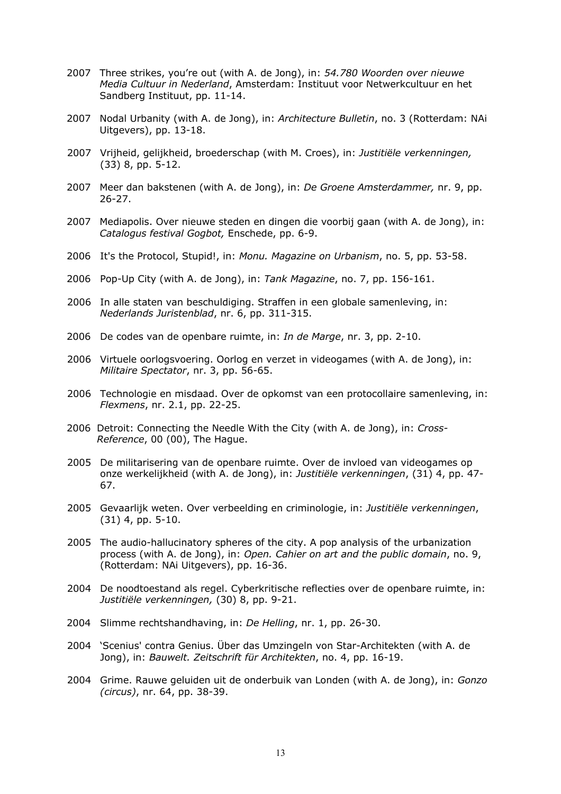- 2007 Three strikes, you're out (with A. de Jong), in: *54.780 Woorden over nieuwe Media Cultuur in Nederland*, Amsterdam: Instituut voor Netwerkcultuur en het Sandberg Instituut, pp. 11-14.
- 2007 Nodal Urbanity (with A. de Jong), in: *Architecture Bulletin*, no. 3 (Rotterdam: NAi Uitgevers), pp. 13-18.
- 2007 Vrijheid, gelijkheid, broederschap (with M. Croes), in: *Justitiële verkenningen,* (33) 8, pp. 5-12.
- 2007 Meer dan bakstenen (with A. de Jong), in: *De Groene Amsterdammer,* nr. 9, pp. 26-27.
- 2007 Mediapolis. Over nieuwe steden en dingen die voorbij gaan (with A. de Jong), in: *Catalogus festival Gogbot,* Enschede, pp. 6-9.
- 2006 It's the Protocol, Stupid!, in: *Monu. Magazine on Urbanism*, no. 5, pp. 53-58.
- 2006 Pop-Up City (with A. de Jong), in: *Tank Magazine*, no. 7, pp. 156-161.
- 2006 In alle staten van beschuldiging. Straffen in een globale samenleving, in: *Nederlands Juristenblad*, nr. 6, pp. 311-315.
- 2006 De codes van de openbare ruimte, in: *In de Marge*, nr. 3, pp. 2-10.
- 2006 Virtuele oorlogsvoering. Oorlog en verzet in videogames (with A. de Jong), in: *Militaire Spectator*, nr. 3, pp. 56-65.
- 2006 Technologie en misdaad. Over de opkomst van een protocollaire samenleving, in: *Flexmens*, nr. 2.1, pp. 22-25.
- 2006 Detroit: Connecting the Needle With the City (with A. de Jong), in: *Cross-Reference*, 00 (00), The Hague.
- 2005 De militarisering van de openbare ruimte. Over de invloed van videogames op onze werkelijkheid (with A. de Jong), in: *Justitiële verkenningen*, (31) 4, pp. 47- 67.
- 2005 Gevaarlijk weten. Over verbeelding en criminologie, in: *Justitiële verkenningen*, (31) 4, pp. 5-10.
- 2005 The audio-hallucinatory spheres of the city. A pop analysis of the urbanization process (with A. de Jong), in: *Open. Cahier on art and the public domain*, no. 9, (Rotterdam: NAi Uitgevers), pp. 16-36.
- 2004 De noodtoestand als regel. Cyberkritische reflecties over de openbare ruimte, in: *Justitiële verkenningen,* (30) 8, pp. 9-21.
- 2004 Slimme rechtshandhaving, in: *De Helling*, nr. 1, pp. 26-30.
- 2004 'Scenius' contra Genius. Über das Umzingeln von Star-Architekten (with A. de Jong), in: *Bauwelt. Zeitschrift für Architekten*, no. 4, pp. 16-19.
- 2004 Grime. Rauwe geluiden uit de onderbuik van Londen (with A. de Jong), in: *Gonzo (circus)*, nr. 64, pp. 38-39.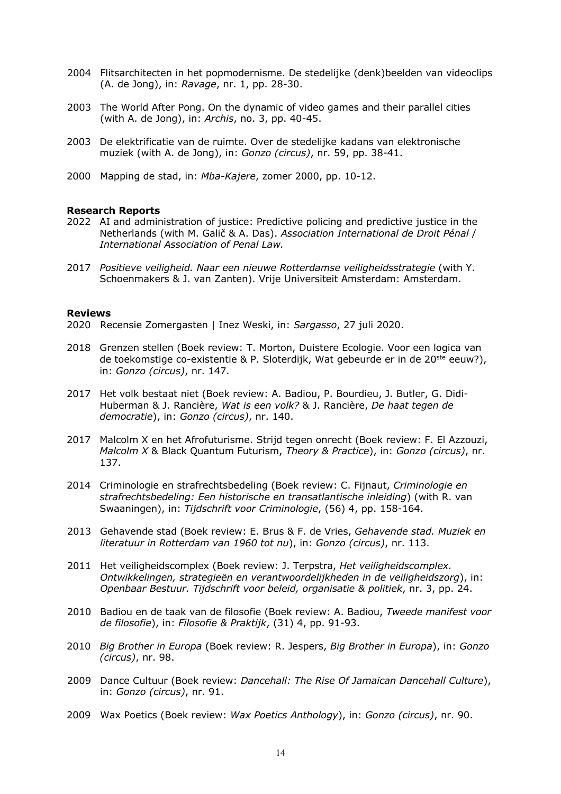- 2004 Flitsarchitecten in het popmodernisme. De stedelijke (denk)beelden van videoclips (A. de Jong), in: *Ravage*, nr. 1, pp. 28-30.
- 2003 The World After Pong. On the dynamic of video games and their parallel cities (with A. de Jong), in: *Archis*, no. 3, pp. 40-45.
- 2003 De elektrificatie van de ruimte. Over de stedelijke kadans van elektronische muziek (with A. de Jong), in: *Gonzo (circus)*, nr. 59, pp. 38-41.
- 2000 Mapping de stad, in: *Mba-Kajere*, zomer 2000, pp. 10-12.

#### **Research Reports**

- 2022 AI and administration of justice: Predictive policing and predictive justice in the Netherlands (with M. Galič & A. Das). *Association International de Droit Pénal* / *International Association of Penal Law.*
- 2017 *Positieve veiligheid. Naar een nieuwe Rotterdamse veiligheidsstrategie* (with Y. Schoenmakers & J. van Zanten). Vrije Universiteit Amsterdam: Amsterdam.

#### **Reviews**

- 2020 Recensie Zomergasten | Inez Weski, in: *Sargasso*, 27 juli 2020.
- 2018 Grenzen stellen (Boek review: T. Morton, Duistere Ecologie. Voor een logica van de toekomstige co-existentie & P. Sloterdijk, Wat gebeurde er in de 20<sup>ste</sup> eeuw?), in: *Gonzo (circus)*, nr. 147.
- 2017 Het volk bestaat niet (Boek review: A. Badiou, P. Bourdieu, J. Butler, G. Didi-Huberman & J. Rancière, *Wat is een volk?* & J. Rancière, *De haat tegen de democratie*), in: *Gonzo (circus)*, nr. 140.
- 2017 Malcolm X en het Afrofuturisme. Strijd tegen onrecht (Boek review: F. El Azzouzi, *Malcolm X* & Black Quantum Futurism, *Theory & Practice*), in: *Gonzo (circus)*, nr. 137.
- 2014 Criminologie en strafrechtsbedeling (Boek review: C. Fijnaut, *Criminologie en strafrechtsbedeling: Een historische en transatlantische inleiding*) (with R. van Swaaningen), in: *Tijdschrift voor Criminologie*, (56) 4, pp. 158-164.
- 2013 Gehavende stad (Boek review: E. Brus & F. de Vries, *Gehavende stad. Muziek en literatuur in Rotterdam van 1960 tot nu*), in: *Gonzo (circus)*, nr. 113.
- 2011 Het veiligheidscomplex (Boek review: J. Terpstra, *Het veiligheidscomplex. Ontwikkelingen, strategieën en verantwoordelijkheden in de veiligheidszorg*), in: *Openbaar Bestuur. Tijdschrift voor beleid, organisatie & politiek*, nr. 3, pp. 24.
- 2010 Badiou en de taak van de filosofie (Boek review: A. Badiou, *Tweede manifest voor de filosofie*), in: *Filosofie & Praktijk*, (31) 4, pp. 91-93.
- 2010 *Big Brother in Europa* (Boek review: R. Jespers, *Big Brother in Europa*), in: *Gonzo (circus)*, nr. 98.
- 2009 Dance Cultuur (Boek review: *Dancehall: The Rise Of Jamaican Dancehall Culture*), in: *Gonzo (circus)*, nr. 91.
- 2009 Wax Poetics (Boek review: *Wax Poetics Anthology*), in: *Gonzo (circus)*, nr. 90.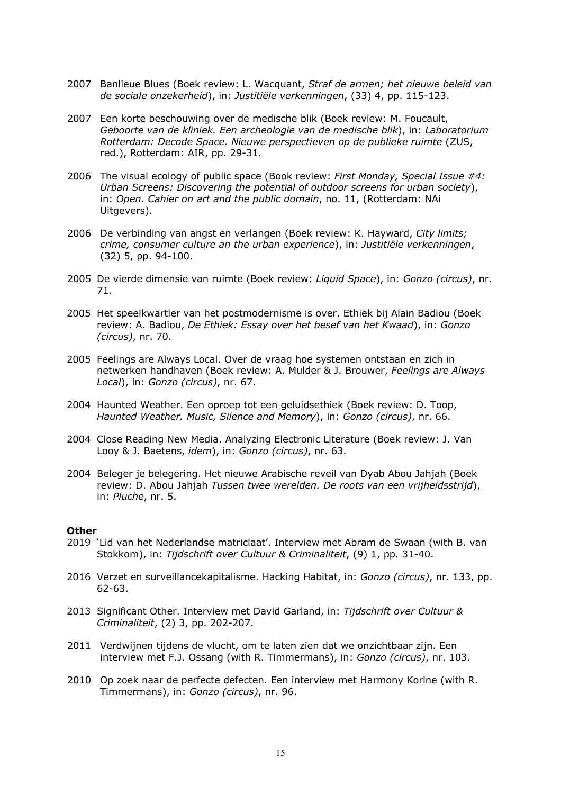- 2007 Banlieue Blues (Boek review: L. Wacquant, *Straf de armen; het nieuwe beleid van de sociale onzekerheid*), in: *Justitiële verkenningen*, (33) 4, pp. 115-123.
- 2007 Een korte beschouwing over de medische blik (Boek review: M. Foucault, *Geboorte van de kliniek. Een archeologie van de medische blik*), in: *Laboratorium Rotterdam: Decode Space. Nieuwe perspectieven op de publieke ruimte* (ZUS, red.), Rotterdam: AIR, pp. 29-31.
- 2006 The visual ecology of public space (Book review: *First Monday, Special Issue #4: Urban Screens: Discovering the potential of outdoor screens for urban society*), in: *Open. Cahier on art and the public domain*, no. 11, (Rotterdam: NAi Uitgevers).
- 2006 De verbinding van angst en verlangen (Boek review: K. Hayward, *City limits; crime, consumer culture an the urban experience*), in: *Justitiële verkenningen*, (32) 5, pp. 94-100.
- 2005 De vierde dimensie van ruimte (Boek review: *Liquid Space*), in: *Gonzo (circus)*, nr. 71.
- 2005 Het speelkwartier van het postmodernisme is over. Ethiek bij Alain Badiou (Boek review: A. Badiou, *De Ethiek: Essay over het besef van het Kwaad*), in: *Gonzo (circus)*, nr. 70.
- 2005 Feelings are Always Local. Over de vraag hoe systemen ontstaan en zich in netwerken handhaven (Boek review: A. Mulder & J. Brouwer, *Feelings are Always Local*), in: *Gonzo (circus)*, nr. 67.
- 2004 Haunted Weather. Een oproep tot een geluidsethiek (Boek review: D. Toop, *Haunted Weather. Music, Silence and Memory*), in: *Gonzo (circus)*, nr. 66.
- 2004 Close Reading New Media. Analyzing Electronic Literature (Boek review: J. Van Looy & J. Baetens, *idem*), in: *Gonzo (circus)*, nr. 63.
- 2004 Beleger je belegering. Het nieuwe Arabische reveil van Dyab Abou Jahjah (Boek review: D. Abou Jahjah *Tussen twee werelden. De roots van een vrijheidsstrijd*), in: *Pluche*, nr. 5.

#### **Other**

- 2019 'Lid van het Nederlandse matriciaat'. Interview met Abram de Swaan (with B. van Stokkom), in: *Tijdschrift over Cultuur & Criminaliteit*, (9) 1, pp. 31-40.
- 2016 Verzet en surveillancekapitalisme. Hacking Habitat, in: *Gonzo (circus)*, nr. 133, pp. 62-63.
- 2013 Significant Other. Interview met David Garland, in: *Tijdschrift over Cultuur & Criminaliteit*, (2) 3, pp. 202-207.
- 2011 Verdwijnen tijdens de vlucht, om te laten zien dat we onzichtbaar zijn. Een interview met F.J. Ossang (with R. Timmermans), in: *Gonzo (circus)*, nr. 103.
- 2010 Op zoek naar de perfecte defecten. Een interview met Harmony Korine (with R. Timmermans), in: *Gonzo (circus)*, nr. 96.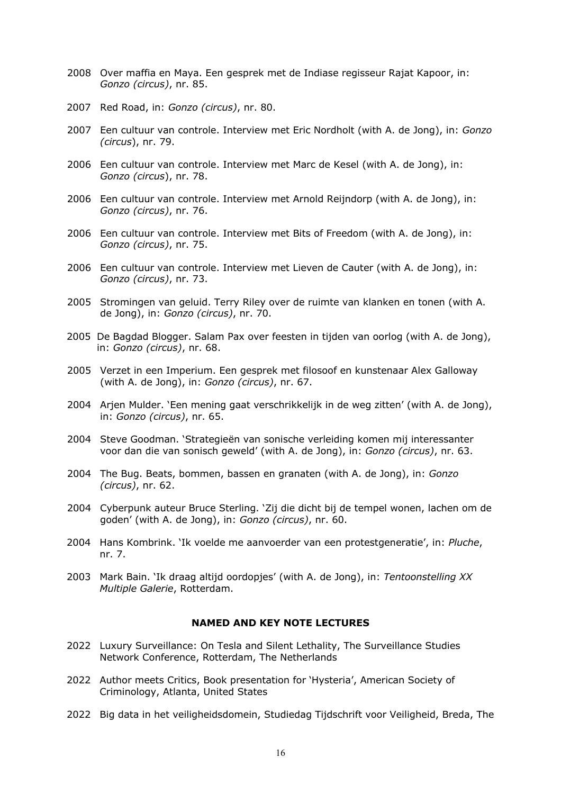- 2008 Over maffia en Maya. Een gesprek met de Indiase regisseur Rajat Kapoor, in: *Gonzo (circus)*, nr. 85.
- 2007 Red Road, in: *Gonzo (circus)*, nr. 80.
- 2007 Een cultuur van controle. Interview met Eric Nordholt (with A. de Jong), in: *Gonzo (circus*), nr. 79.
- 2006 Een cultuur van controle. Interview met Marc de Kesel (with A. de Jong), in: *Gonzo (circus*), nr. 78.
- 2006 Een cultuur van controle. Interview met Arnold Reijndorp (with A. de Jong), in: *Gonzo (circus)*, nr. 76.
- 2006 Een cultuur van controle. Interview met Bits of Freedom (with A. de Jong), in: *Gonzo (circus)*, nr. 75.
- 2006 Een cultuur van controle. Interview met Lieven de Cauter (with A. de Jong), in: *Gonzo (circus)*, nr. 73.
- 2005 Stromingen van geluid. Terry Riley over de ruimte van klanken en tonen (with A. de Jong), in: *Gonzo (circus)*, nr. 70.
- 2005 De Bagdad Blogger. Salam Pax over feesten in tijden van oorlog (with A. de Jong), in: *Gonzo (circus)*, nr. 68.
- 2005 Verzet in een Imperium. Een gesprek met filosoof en kunstenaar Alex Galloway (with A. de Jong), in: *Gonzo (circus)*, nr. 67.
- 2004 Arjen Mulder. 'Een mening gaat verschrikkelijk in de weg zitten' (with A. de Jong), in: *Gonzo (circus)*, nr. 65.
- 2004 Steve Goodman. 'Strategieën van sonische verleiding komen mij interessanter voor dan die van sonisch geweld' (with A. de Jong), in: *Gonzo (circus)*, nr. 63.
- 2004 The Bug. Beats, bommen, bassen en granaten (with A. de Jong), in: *Gonzo (circus)*, nr. 62.
- 2004 Cyberpunk auteur Bruce Sterling. 'Zij die dicht bij de tempel wonen, lachen om de goden' (with A. de Jong), in: *Gonzo (circus)*, nr. 60.
- 2004 Hans Kombrink. 'Ik voelde me aanvoerder van een protestgeneratie', in: *Pluche*, nr. 7.
- 2003 Mark Bain. 'Ik draag altijd oordopjes' (with A. de Jong), in: *Tentoonstelling XX Multiple Galerie*, Rotterdam.

#### **NAMED AND KEY NOTE LECTURES**

- 2022 Luxury Surveillance: On Tesla and Silent Lethality, The Surveillance Studies Network Conference, Rotterdam, The Netherlands
- 2022 Author meets Critics, Book presentation for 'Hysteria', American Society of Criminology, Atlanta, United States
- 2022 Big data in het veiligheidsdomein, Studiedag Tijdschrift voor Veiligheid, Breda, The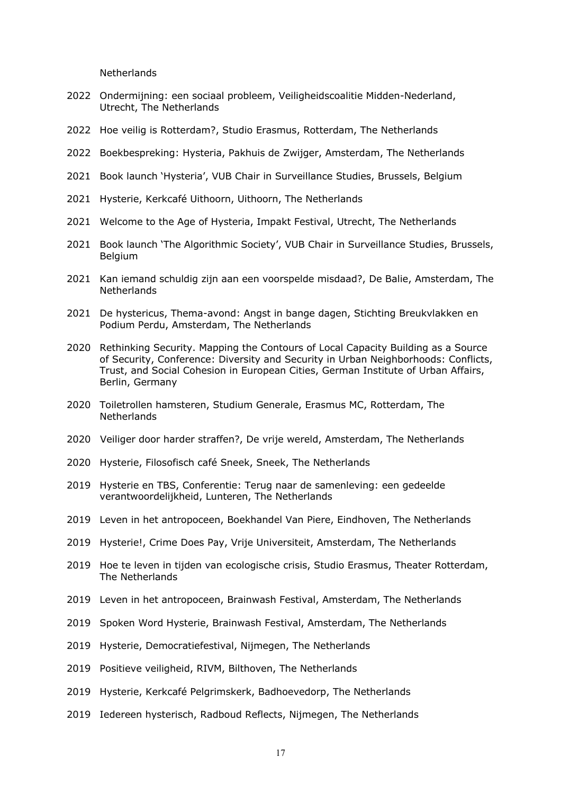**Netherlands** 

- Ondermijning: een sociaal probleem, Veiligheidscoalitie Midden-Nederland, Utrecht, The Netherlands
- Hoe veilig is Rotterdam?, Studio Erasmus, Rotterdam, The Netherlands
- Boekbespreking: Hysteria, Pakhuis de Zwijger, Amsterdam, The Netherlands
- Book launch 'Hysteria', VUB Chair in Surveillance Studies, Brussels, Belgium
- Hysterie, Kerkcafé Uithoorn, Uithoorn, The Netherlands
- Welcome to the Age of Hysteria, Impakt Festival, Utrecht, The Netherlands
- Book launch 'The Algorithmic Society', VUB Chair in Surveillance Studies, Brussels, Belgium
- Kan iemand schuldig zijn aan een voorspelde misdaad?, De Balie, Amsterdam, The **Netherlands**
- De hystericus, Thema-avond: Angst in bange dagen, Stichting Breukvlakken en Podium Perdu, Amsterdam, The Netherlands
- Rethinking Security. Mapping the Contours of Local Capacity Building as a Source of Security, Conference: Diversity and Security in Urban Neighborhoods: Conflicts, Trust, and Social Cohesion in European Cities, German Institute of Urban Affairs, Berlin, Germany
- Toiletrollen hamsteren, Studium Generale, Erasmus MC, Rotterdam, The **Netherlands**
- Veiliger door harder straffen?, De vrije wereld, Amsterdam, The Netherlands
- Hysterie, Filosofisch café Sneek, Sneek, The Netherlands
- Hysterie en TBS, Conferentie: Terug naar de samenleving: een gedeelde verantwoordelijkheid, Lunteren, The Netherlands
- Leven in het antropoceen, Boekhandel Van Piere, Eindhoven, The Netherlands
- Hysterie!, Crime Does Pay, Vrije Universiteit, Amsterdam, The Netherlands
- Hoe te leven in tijden van ecologische crisis, Studio Erasmus, Theater Rotterdam, The Netherlands
- Leven in het antropoceen, Brainwash Festival, Amsterdam, The Netherlands
- Spoken Word Hysterie, Brainwash Festival, Amsterdam, The Netherlands
- Hysterie, Democratiefestival, Nijmegen, The Netherlands
- Positieve veiligheid, RIVM, Bilthoven, The Netherlands
- Hysterie, Kerkcafé Pelgrimskerk, Badhoevedorp, The Netherlands
- Iedereen hysterisch, Radboud Reflects, Nijmegen, The Netherlands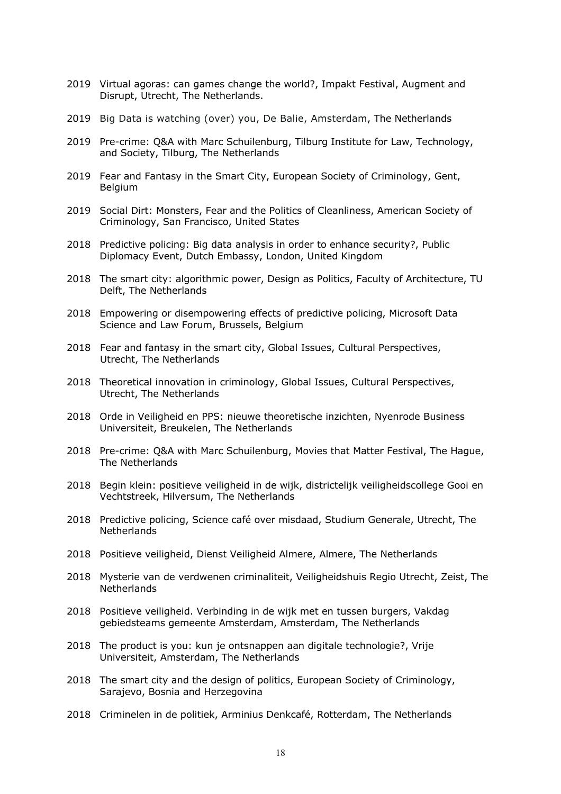- 2019 Virtual agoras: can games change the world?, Impakt Festival, Augment and Disrupt, Utrecht, The Netherlands.
- 2019 Big Data is watching (over) you, De Balie, Amsterdam, The Netherlands
- 2019 Pre-crime: Q&A with Marc Schuilenburg, Tilburg Institute for Law, Technology, and Society, Tilburg, The Netherlands
- 2019 Fear and Fantasy in the Smart City, European Society of Criminology, Gent, Belgium
- 2019 Social Dirt: Monsters, Fear and the Politics of Cleanliness, American Society of Criminology, San Francisco, United States
- 2018 Predictive policing: Big data analysis in order to enhance security?, Public Diplomacy Event, Dutch Embassy, London, United Kingdom
- 2018 The smart city: algorithmic power, Design as Politics, Faculty of Architecture, TU Delft, The Netherlands
- 2018 Empowering or disempowering effects of predictive policing, Microsoft Data Science and Law Forum, Brussels, Belgium
- 2018 Fear and fantasy in the smart city, Global Issues, Cultural Perspectives, Utrecht, The Netherlands
- 2018 Theoretical innovation in criminology, Global Issues, Cultural Perspectives, Utrecht, The Netherlands
- 2018 Orde in Veiligheid en PPS: nieuwe theoretische inzichten, Nyenrode Business Universiteit, Breukelen, The Netherlands
- 2018 Pre-crime: Q&A with Marc Schuilenburg, Movies that Matter Festival, The Hague, The Netherlands
- 2018 Begin klein: positieve veiligheid in de wijk, districtelijk veiligheidscollege Gooi en Vechtstreek, Hilversum, The Netherlands
- 2018 Predictive policing, Science café over misdaad, Studium Generale, Utrecht, The **Netherlands**
- 2018 Positieve veiligheid, Dienst Veiligheid Almere, Almere, The Netherlands
- 2018 Mysterie van de verdwenen criminaliteit, Veiligheidshuis Regio Utrecht, Zeist, The Netherlands
- 2018 Positieve veiligheid. Verbinding in de wijk met en tussen burgers, Vakdag gebiedsteams gemeente Amsterdam, Amsterdam, The Netherlands
- 2018 The product is you: kun je ontsnappen aan digitale technologie?, Vrije Universiteit, Amsterdam, The Netherlands
- 2018 The smart city and the design of politics, European Society of Criminology, Sarajevo, Bosnia and Herzegovina
- 2018 Criminelen in de politiek, Arminius Denkcafé, Rotterdam, The Netherlands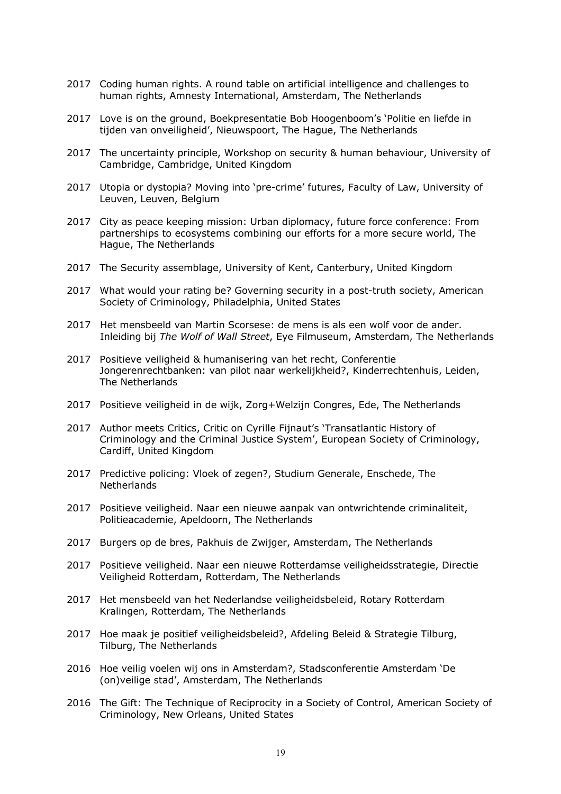- 2017 Coding human rights. A round table on artificial intelligence and challenges to human rights, Amnesty International, Amsterdam, The Netherlands
- 2017 Love is on the ground, Boekpresentatie Bob Hoogenboom's 'Politie en liefde in tijden van onveiligheid', Nieuwspoort, The Hague, The Netherlands
- 2017 The uncertainty principle, Workshop on security & human behaviour, University of Cambridge, Cambridge, United Kingdom
- 2017 Utopia or dystopia? Moving into 'pre-crime' futures, Faculty of Law, University of Leuven, Leuven, Belgium
- 2017 City as peace keeping mission: Urban diplomacy, future force conference: From partnerships to ecosystems combining our efforts for a more secure world, The Hague, The Netherlands
- 2017 The Security assemblage, University of Kent, Canterbury, United Kingdom
- 2017 What would your rating be? Governing security in a post-truth society, American Society of Criminology, Philadelphia, United States
- 2017 Het mensbeeld van Martin Scorsese: de mens is als een wolf voor de ander. Inleiding bij *The Wolf of Wall Street*, Eye Filmuseum, Amsterdam, The Netherlands
- 2017 Positieve veiligheid & humanisering van het recht, Conferentie Jongerenrechtbanken: van pilot naar werkelijkheid?, Kinderrechtenhuis, Leiden, The Netherlands
- 2017 Positieve veiligheid in de wijk, Zorg+Welzijn Congres, Ede, The Netherlands
- 2017 Author meets Critics, Critic on Cyrille Fijnaut's 'Transatlantic History of Criminology and the Criminal Justice System', European Society of Criminology, Cardiff, United Kingdom
- 2017 Predictive policing: Vloek of zegen?, Studium Generale, Enschede, The **Netherlands**
- 2017 Positieve veiligheid. Naar een nieuwe aanpak van ontwrichtende criminaliteit, Politieacademie, Apeldoorn, The Netherlands
- 2017 Burgers op de bres, Pakhuis de Zwijger, Amsterdam, The Netherlands
- 2017 Positieve veiligheid. Naar een nieuwe Rotterdamse veiligheidsstrategie, Directie Veiligheid Rotterdam, Rotterdam, The Netherlands
- 2017 Het mensbeeld van het Nederlandse veiligheidsbeleid, Rotary Rotterdam Kralingen, Rotterdam, The Netherlands
- 2017 Hoe maak je positief veiligheidsbeleid?, Afdeling Beleid & Strategie Tilburg, Tilburg, The Netherlands
- 2016 Hoe veilig voelen wij ons in Amsterdam?, Stadsconferentie Amsterdam 'De (on)veilige stad', Amsterdam, The Netherlands
- 2016 The Gift: The Technique of Reciprocity in a Society of Control, American Society of Criminology, New Orleans, United States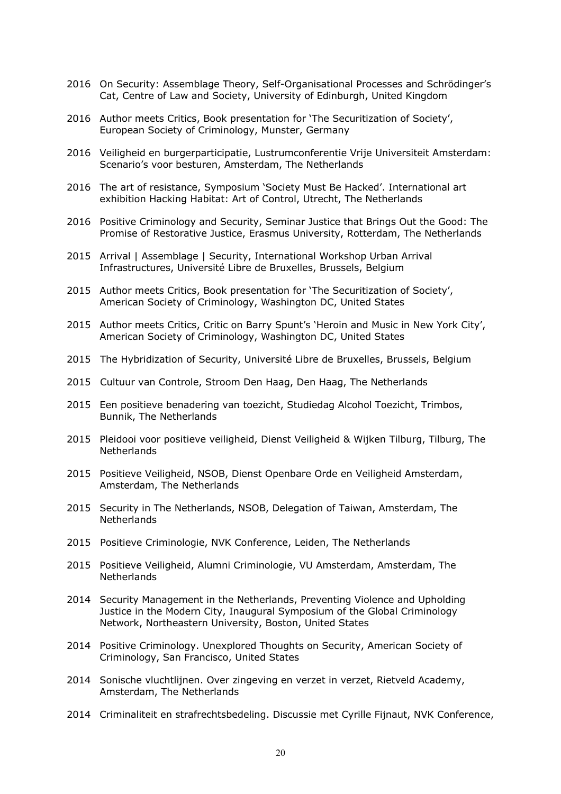- 2016 On Security: Assemblage Theory, Self-Organisational Processes and Schrödinger's Cat, Centre of Law and Society, University of Edinburgh, United Kingdom
- 2016 Author meets Critics, Book presentation for 'The Securitization of Society', European Society of Criminology, Munster, Germany
- 2016 Veiligheid en burgerparticipatie, Lustrumconferentie Vrije Universiteit Amsterdam: Scenario's voor besturen, Amsterdam, The Netherlands
- 2016 The art of resistance, Symposium 'Society Must Be Hacked'. International art exhibition Hacking Habitat: Art of Control, Utrecht, The Netherlands
- 2016 Positive Criminology and Security, Seminar Justice that Brings Out the Good: The Promise of Restorative Justice, Erasmus University, Rotterdam, The Netherlands
- 2015 Arrival | Assemblage | Security, International Workshop Urban Arrival Infrastructures, Université Libre de Bruxelles, Brussels, Belgium
- 2015 Author meets Critics, Book presentation for 'The Securitization of Society', American Society of Criminology, Washington DC, United States
- 2015 Author meets Critics, Critic on Barry Spunt's 'Heroin and Music in New York City', American Society of Criminology, Washington DC, United States
- 2015 The Hybridization of Security, Université Libre de Bruxelles, Brussels, Belgium
- 2015 Cultuur van Controle, Stroom Den Haag, Den Haag, The Netherlands
- 2015 Een positieve benadering van toezicht, Studiedag Alcohol Toezicht, Trimbos, Bunnik, The Netherlands
- 2015 Pleidooi voor positieve veiligheid, Dienst Veiligheid & Wijken Tilburg, Tilburg, The **Netherlands**
- 2015 Positieve Veiligheid, NSOB, Dienst Openbare Orde en Veiligheid Amsterdam, Amsterdam, The Netherlands
- 2015 Security in The Netherlands, NSOB, Delegation of Taiwan, Amsterdam, The Netherlands
- 2015 Positieve Criminologie, NVK Conference, Leiden, The Netherlands
- 2015 Positieve Veiligheid, Alumni Criminologie, VU Amsterdam, Amsterdam, The **Netherlands**
- 2014 Security Management in the Netherlands, Preventing Violence and Upholding Justice in the Modern City, Inaugural Symposium of the Global Criminology Network, Northeastern University, Boston, United States
- 2014 Positive Criminology. Unexplored Thoughts on Security, American Society of Criminology, San Francisco, United States
- 2014 Sonische vluchtlijnen. Over zingeving en verzet in verzet, Rietveld Academy, Amsterdam, The Netherlands
- 2014 Criminaliteit en strafrechtsbedeling. Discussie met Cyrille Fijnaut, NVK Conference,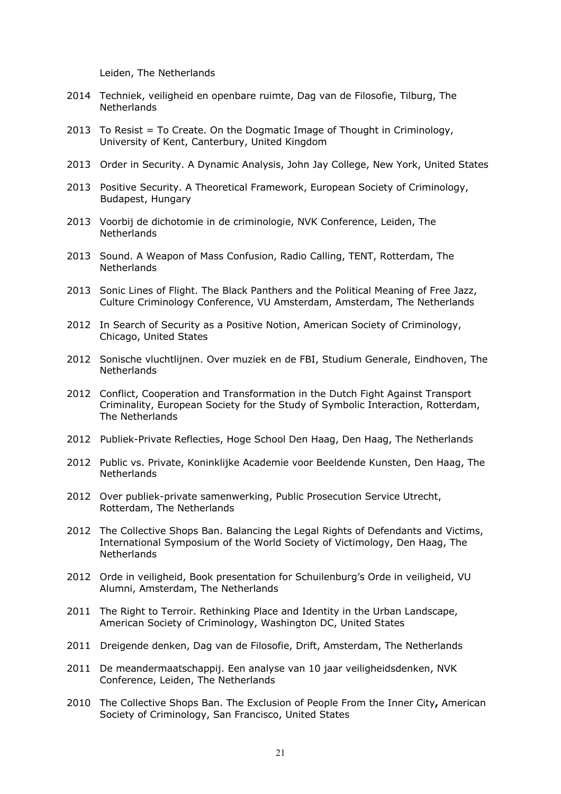Leiden, The Netherlands

- 2014 Techniek, veiligheid en openbare ruimte, Dag van de Filosofie, Tilburg, The **Netherlands**
- 2013 To Resist = To Create. On the Dogmatic Image of Thought in Criminology, University of Kent, Canterbury, United Kingdom
- 2013 Order in Security. A Dynamic Analysis, John Jay College, New York, United States
- 2013 Positive Security. A Theoretical Framework, European Society of Criminology, Budapest, Hungary
- 2013 Voorbij de dichotomie in de criminologie, NVK Conference, Leiden, The **Netherlands**
- 2013 Sound. A Weapon of Mass Confusion, Radio Calling, TENT, Rotterdam, The **Netherlands**
- 2013 Sonic Lines of Flight. The Black Panthers and the Political Meaning of Free Jazz, Culture Criminology Conference, VU Amsterdam, Amsterdam, The Netherlands
- 2012 In Search of Security as a Positive Notion, American Society of Criminology, Chicago, United States
- 2012 Sonische vluchtlijnen. Over muziek en de FBI, Studium Generale, Eindhoven, The **Netherlands**
- 2012 Conflict, Cooperation and Transformation in the Dutch Fight Against Transport Criminality, European Society for the Study of Symbolic Interaction, Rotterdam, The Netherlands
- 2012 Publiek-Private Reflecties, Hoge School Den Haag, Den Haag, The Netherlands
- 2012 Public vs. Private, Koninklijke Academie voor Beeldende Kunsten, Den Haag, The Netherlands
- 2012 Over publiek-private samenwerking, Public Prosecution Service Utrecht, Rotterdam, The Netherlands
- 2012 The Collective Shops Ban. Balancing the Legal Rights of Defendants and Victims, International Symposium of the World Society of Victimology, Den Haag, The **Netherlands**
- 2012 Orde in veiligheid, Book presentation for Schuilenburg's Orde in veiligheid, VU Alumni, Amsterdam, The Netherlands
- 2011 The Right to Terroir. Rethinking Place and Identity in the Urban Landscape, American Society of Criminology, Washington DC, United States
- 2011 Dreigende denken, Dag van de Filosofie, Drift, Amsterdam, The Netherlands
- 2011 De meandermaatschappij. Een analyse van 10 jaar veiligheidsdenken, NVK Conference, Leiden, The Netherlands
- 2010 The Collective Shops Ban. The Exclusion of People From the Inner City**,** American Society of Criminology, San Francisco, United States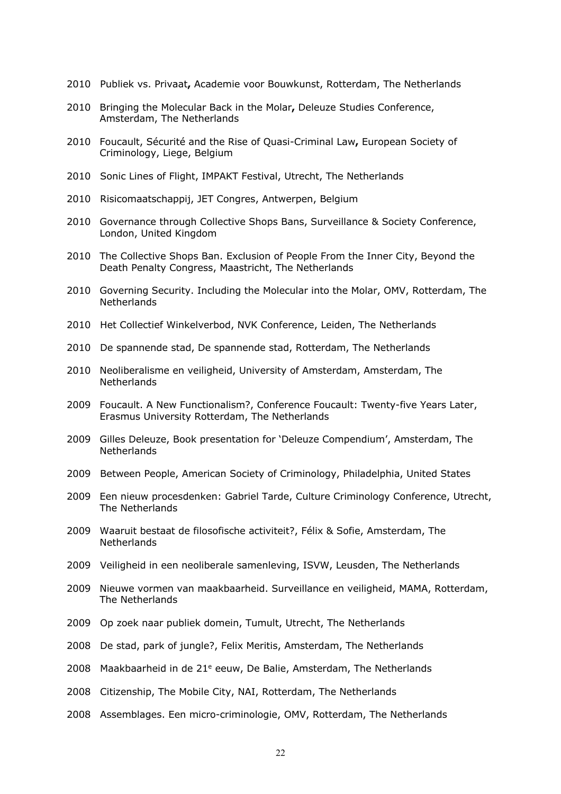- Publiek vs. Privaat**,** Academie voor Bouwkunst, Rotterdam, The Netherlands
- Bringing the Molecular Back in the Molar**,** Deleuze Studies Conference, Amsterdam, The Netherlands
- Foucault, Sécurité and the Rise of Quasi-Criminal Law**,** European Society of Criminology, Liege, Belgium
- Sonic Lines of Flight, IMPAKT Festival, Utrecht, The Netherlands
- Risicomaatschappij, JET Congres, Antwerpen, Belgium
- 2010 Governance through Collective Shops Bans, Surveillance & Society Conference, London, United Kingdom
- The Collective Shops Ban. Exclusion of People From the Inner City, Beyond the Death Penalty Congress, Maastricht, The Netherlands
- Governing Security. Including the Molecular into the Molar, OMV, Rotterdam, The **Netherlands**
- Het Collectief Winkelverbod, NVK Conference, Leiden, The Netherlands
- De spannende stad, De spannende stad, Rotterdam, The Netherlands
- Neoliberalisme en veiligheid, University of Amsterdam, Amsterdam, The **Netherlands**
- Foucault. A New Functionalism?, Conference Foucault: Twenty-five Years Later, Erasmus University Rotterdam, The Netherlands
- Gilles Deleuze, Book presentation for 'Deleuze Compendium', Amsterdam, The **Netherlands**
- Between People, American Society of Criminology, Philadelphia, United States
- Een nieuw procesdenken: Gabriel Tarde, Culture Criminology Conference, Utrecht, The Netherlands
- Waaruit bestaat de filosofische activiteit?, Félix & Sofie, Amsterdam, The **Netherlands**
- Veiligheid in een neoliberale samenleving, ISVW, Leusden, The Netherlands
- Nieuwe vormen van maakbaarheid. Surveillance en veiligheid, MAMA, Rotterdam, The Netherlands
- Op zoek naar publiek domein, Tumult, Utrecht, The Netherlands
- De stad, park of jungle?, Felix Meritis, Amsterdam, The Netherlands
- 2008 Maakbaarheid in de  $21^e$  eeuw, De Balie, Amsterdam, The Netherlands
- Citizenship, The Mobile City, NAI, Rotterdam, The Netherlands
- Assemblages. Een micro-criminologie, OMV, Rotterdam, The Netherlands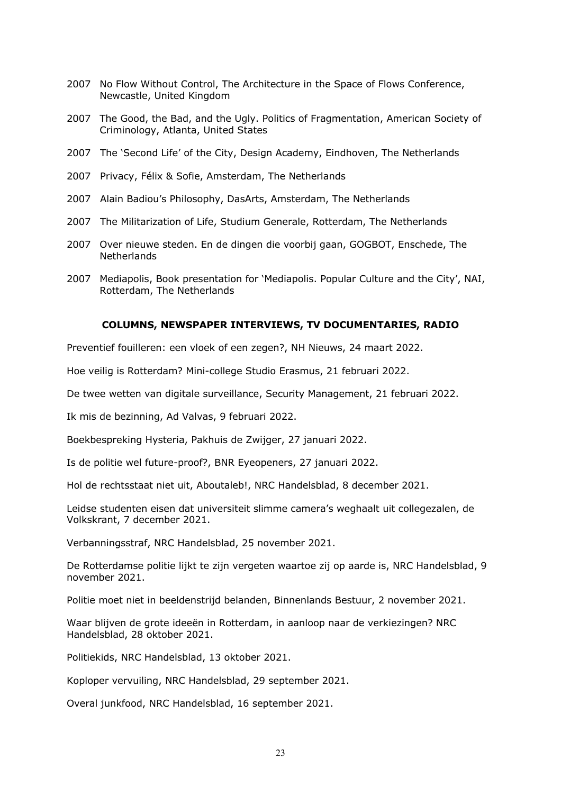- 2007 No Flow Without Control, The Architecture in the Space of Flows Conference, Newcastle, United Kingdom
- 2007 The Good, the Bad, and the Ugly. Politics of Fragmentation, American Society of Criminology, Atlanta, United States
- 2007 The 'Second Life' of the City, Design Academy, Eindhoven, The Netherlands
- 2007 Privacy, Félix & Sofie, Amsterdam, The Netherlands
- 2007 Alain Badiou's Philosophy, DasArts, Amsterdam, The Netherlands
- 2007 The Militarization of Life, Studium Generale, Rotterdam, The Netherlands
- 2007 Over nieuwe steden. En de dingen die voorbij gaan, GOGBOT, Enschede, The **Netherlands**
- 2007 Mediapolis, Book presentation for 'Mediapolis. Popular Culture and the City', NAI, Rotterdam, The Netherlands

#### **COLUMNS, NEWSPAPER INTERVIEWS, TV DOCUMENTARIES, RADIO**

Preventief fouilleren: een vloek of een zegen?, NH Nieuws, 24 maart 2022.

Hoe veilig is Rotterdam? Mini-college Studio Erasmus, 21 februari 2022.

De twee wetten van digitale surveillance, Security Management, 21 februari 2022.

Ik mis de bezinning, Ad Valvas, 9 februari 2022.

Boekbespreking Hysteria, Pakhuis de Zwijger, 27 januari 2022.

Is de politie wel future-proof?, BNR Eyeopeners, 27 januari 2022.

Hol de rechtsstaat niet uit, Aboutaleb!, NRC Handelsblad, 8 december 2021.

Leidse studenten eisen dat universiteit slimme camera's weghaalt uit collegezalen, de Volkskrant, 7 december 2021.

Verbanningsstraf, NRC Handelsblad, 25 november 2021.

De Rotterdamse politie lijkt te zijn vergeten waartoe zij op aarde is, NRC Handelsblad, 9 november 2021.

Politie moet niet in beeldenstrijd belanden, Binnenlands Bestuur, 2 november 2021.

Waar blijven de grote ideeën in Rotterdam, in aanloop naar de verkiezingen? NRC Handelsblad, 28 oktober 2021.

Politiekids, NRC Handelsblad, 13 oktober 2021.

Koploper vervuiling, NRC Handelsblad, 29 september 2021.

Overal junkfood, NRC Handelsblad, 16 september 2021.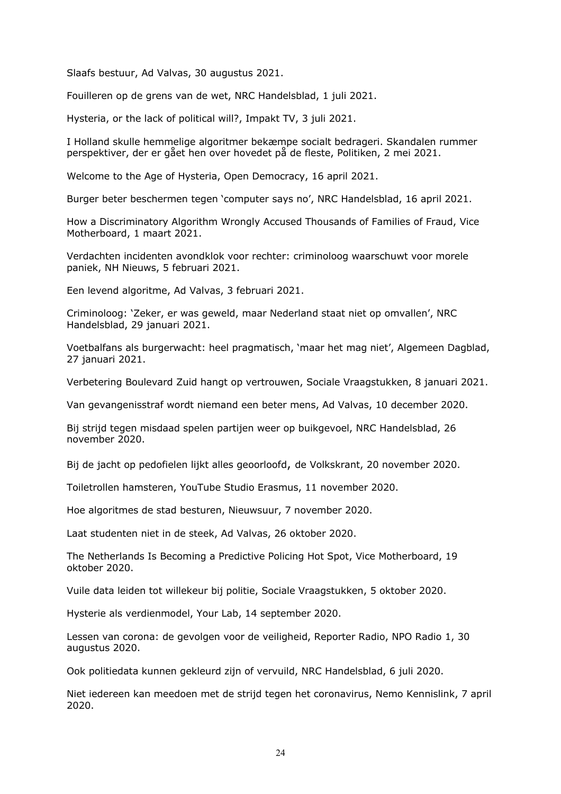Slaafs bestuur, Ad Valvas, 30 augustus 2021.

Fouilleren op de grens van de wet, NRC Handelsblad, 1 juli 2021.

Hysteria, or the lack of political will?, Impakt TV, 3 juli 2021.

I Holland skulle hemmelige algoritmer bekæmpe socialt bedrageri. Skandalen rummer perspektiver, der er gået hen over hovedet på de fleste, Politiken, 2 mei 2021.

Welcome to the Age of Hysteria, Open Democracy, 16 april 2021.

Burger beter beschermen tegen 'computer says no', NRC Handelsblad, 16 april 2021.

How a Discriminatory Algorithm Wrongly Accused Thousands of Families of Fraud, Vice Motherboard, 1 maart 2021.

Verdachten incidenten avondklok voor rechter: criminoloog waarschuwt voor morele paniek, NH Nieuws, 5 februari 2021.

Een levend algoritme, Ad Valvas, 3 februari 2021.

Criminoloog: 'Zeker, er was geweld, maar Nederland staat niet op omvallen', NRC Handelsblad, 29 januari 2021.

Voetbalfans als burgerwacht: heel pragmatisch, 'maar het mag niet', Algemeen Dagblad, 27 januari 2021.

Verbetering Boulevard Zuid hangt op vertrouwen, Sociale Vraagstukken, 8 januari 2021.

Van gevangenisstraf wordt niemand een beter mens, Ad Valvas, 10 december 2020.

Bij strijd tegen misdaad spelen partijen weer op buikgevoel, NRC Handelsblad, 26 november 2020.

Bij de jacht op pedofielen lijkt alles geoorloofd, de Volkskrant, 20 november 2020.

Toiletrollen hamsteren, YouTube Studio Erasmus, 11 november 2020.

Hoe algoritmes de stad besturen, Nieuwsuur, 7 november 2020.

Laat studenten niet in de steek, Ad Valvas, 26 oktober 2020.

The Netherlands Is Becoming a Predictive Policing Hot Spot, Vice Motherboard, 19 oktober 2020.

Vuile data leiden tot willekeur bij politie, Sociale Vraagstukken, 5 oktober 2020.

Hysterie als verdienmodel, Your Lab, 14 september 2020.

Lessen van corona: de gevolgen voor de veiligheid, Reporter Radio, NPO Radio 1, 30 augustus 2020.

Ook politiedata kunnen gekleurd zijn of vervuild, NRC Handelsblad, 6 juli 2020.

Niet iedereen kan meedoen met de strijd tegen het coronavirus, Nemo Kennislink, 7 april 2020.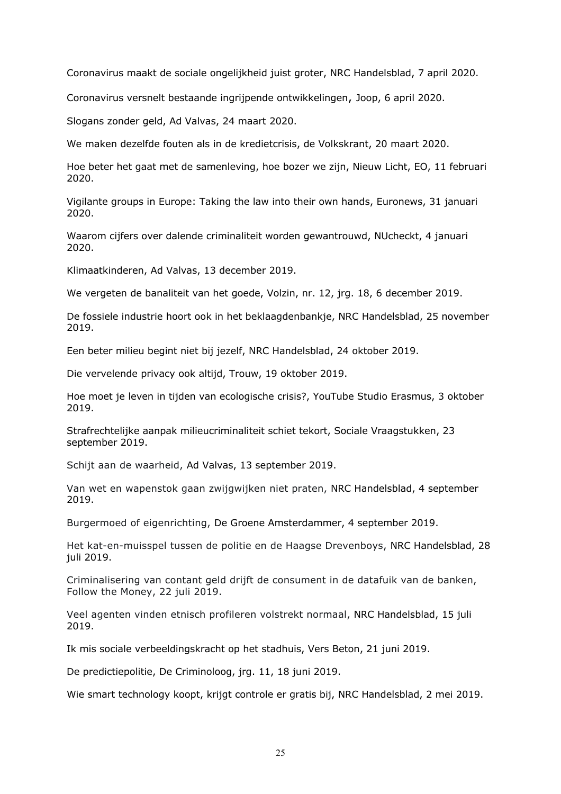Coronavirus maakt de sociale ongelijkheid juist groter, NRC Handelsblad, 7 april 2020.

Coronavirus versnelt bestaande ingrijpende ontwikkelingen, Joop, 6 april 2020.

Slogans zonder geld, Ad Valvas, 24 maart 2020.

We maken dezelfde fouten als in de kredietcrisis, de Volkskrant, 20 maart 2020.

Hoe beter het gaat met de samenleving, hoe bozer we zijn, Nieuw Licht, EO, 11 februari 2020.

Vigilante groups in Europe: Taking the law into their own hands, Euronews, 31 januari 2020.

Waarom cijfers over dalende criminaliteit worden gewantrouwd, NUcheckt, 4 januari 2020.

Klimaatkinderen, Ad Valvas, 13 december 2019.

We vergeten de banaliteit van het goede, Volzin, nr. 12, jrg. 18, 6 december 2019.

De fossiele industrie hoort ook in het beklaagdenbankje, NRC Handelsblad, 25 november 2019.

Een beter milieu begint niet bij jezelf, NRC Handelsblad, 24 oktober 2019.

Die vervelende privacy ook altijd, Trouw, 19 oktober 2019.

Hoe moet je leven in tijden van ecologische crisis?, YouTube Studio Erasmus, 3 oktober 2019.

Strafrechtelijke aanpak milieucriminaliteit schiet tekort, Sociale Vraagstukken, 23 september 2019.

Schijt aan de waarheid, Ad Valvas, 13 september 2019.

Van wet en wapenstok gaan zwijgwijken niet praten, NRC Handelsblad, 4 september 2019.

Burgermoed of eigenrichting, De Groene Amsterdammer, 4 september 2019.

Het kat-en-muisspel tussen de politie en de Haagse Drevenboys, NRC Handelsblad, 28 juli 2019.

Criminalisering van contant geld drijft de consument in de datafuik van de banken, Follow the Money, 22 juli 2019.

Veel agenten vinden etnisch profileren volstrekt normaal, NRC Handelsblad, 15 juli 2019.

Ik mis sociale verbeeldingskracht op het stadhuis, Vers Beton, 21 juni 2019.

De predictiepolitie, De Criminoloog, jrg. 11, 18 juni 2019.

Wie smart technology koopt, krijgt controle er gratis bij, NRC Handelsblad, 2 mei 2019.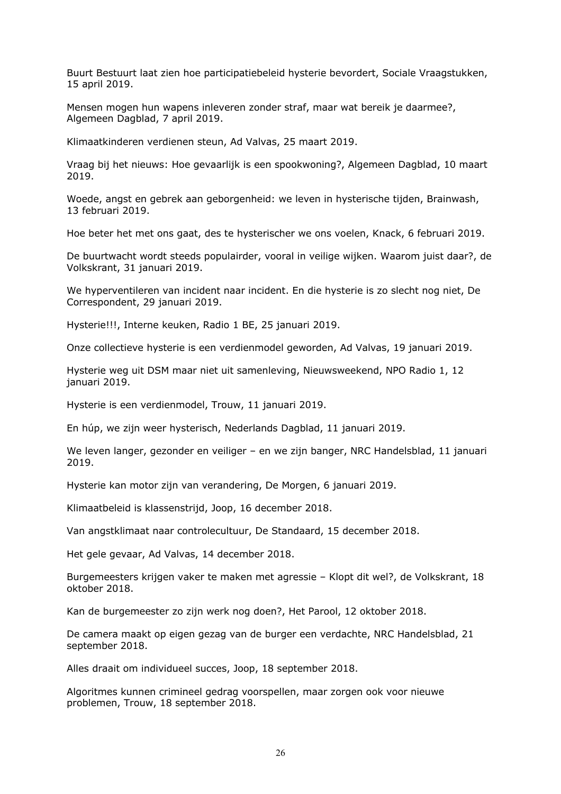Buurt Bestuurt laat zien hoe participatiebeleid hysterie bevordert, Sociale Vraagstukken, 15 april 2019.

Mensen mogen hun wapens inleveren zonder straf, maar wat bereik je daarmee?, Algemeen Dagblad, 7 april 2019.

Klimaatkinderen verdienen steun, Ad Valvas, 25 maart 2019.

Vraag bij het nieuws: Hoe gevaarlijk is een spookwoning?, Algemeen Dagblad, 10 maart 2019.

Woede, angst en gebrek aan geborgenheid: we leven in hysterische tijden, Brainwash, 13 februari 2019.

Hoe beter het met ons gaat, des te hysterischer we ons voelen, Knack, 6 februari 2019.

De buurtwacht wordt steeds populairder, vooral in veilige wijken. Waarom juist daar?, de Volkskrant, 31 januari 2019.

We hyperventileren van incident naar incident. En die hysterie is zo slecht nog niet, De Correspondent, 29 januari 2019.

Hysterie!!!, Interne keuken, Radio 1 BE, 25 januari 2019.

Onze collectieve hysterie is een verdienmodel geworden, Ad Valvas, 19 januari 2019.

Hysterie weg uit DSM maar niet uit samenleving, Nieuwsweekend, NPO Radio 1, 12 januari 2019.

Hysterie is een verdienmodel, Trouw, 11 januari 2019.

En húp, we zijn weer hysterisch, Nederlands Dagblad, 11 januari 2019.

We leven langer, gezonder en veiliger – en we zijn banger, NRC Handelsblad, 11 januari 2019.

Hysterie kan motor zijn van verandering, De Morgen, 6 januari 2019.

Klimaatbeleid is klassenstrijd, Joop, 16 december 2018.

Van angstklimaat naar controlecultuur, De Standaard, 15 december 2018.

Het gele gevaar, Ad Valvas, 14 december 2018.

Burgemeesters krijgen vaker te maken met agressie – Klopt dit wel?, de Volkskrant, 18 oktober 2018.

Kan de burgemeester zo zijn werk nog doen?, Het Parool, 12 oktober 2018.

De camera maakt op eigen gezag van de burger een verdachte, NRC Handelsblad, 21 september 2018.

Alles draait om individueel succes, Joop, 18 september 2018.

Algoritmes kunnen crimineel gedrag voorspellen, maar zorgen ook voor nieuwe problemen, Trouw, 18 september 2018.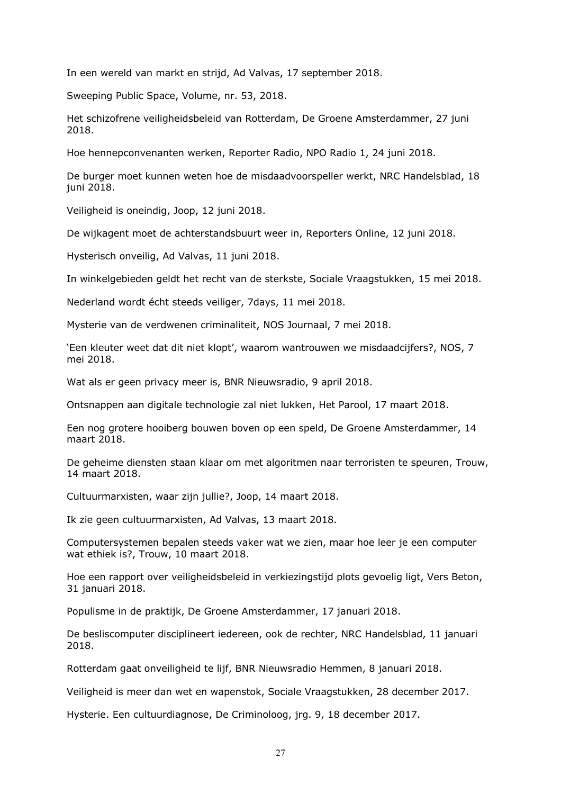In een wereld van markt en strijd, Ad Valvas, 17 september 2018.

Sweeping Public Space, Volume, nr. 53, 2018.

Het schizofrene veiligheidsbeleid van Rotterdam, De Groene Amsterdammer, 27 juni 2018.

Hoe hennepconvenanten werken, Reporter Radio, NPO Radio 1, 24 juni 2018.

De burger moet kunnen weten hoe de misdaadvoorspeller werkt, NRC Handelsblad, 18 juni 2018.

Veiligheid is oneindig, Joop, 12 juni 2018.

De wijkagent moet de achterstandsbuurt weer in, Reporters Online, 12 juni 2018.

Hysterisch onveilig, Ad Valvas, 11 juni 2018.

In winkelgebieden geldt het recht van de sterkste, Sociale Vraagstukken, 15 mei 2018.

Nederland wordt écht steeds veiliger, 7days, 11 mei 2018.

Mysterie van de verdwenen criminaliteit, NOS Journaal, 7 mei 2018.

'Een kleuter weet dat dit niet klopt', waarom wantrouwen we misdaadcijfers?, NOS, 7 mei 2018.

Wat als er geen privacy meer is, BNR Nieuwsradio, 9 april 2018.

Ontsnappen aan digitale technologie zal niet lukken, Het Parool, 17 maart 2018.

Een nog grotere hooiberg bouwen boven op een speld, De Groene Amsterdammer, 14 maart 2018.

De geheime diensten staan klaar om met algoritmen naar terroristen te speuren, Trouw, 14 maart 2018.

Cultuurmarxisten, waar zijn jullie?, Joop, 14 maart 2018.

Ik zie geen cultuurmarxisten, Ad Valvas, 13 maart 2018.

Computersystemen bepalen steeds vaker wat we zien, maar hoe leer je een computer wat ethiek is?, Trouw, 10 maart 2018.

Hoe een rapport over veiligheidsbeleid in verkiezingstijd plots gevoelig ligt, Vers Beton, 31 januari 2018.

Populisme in de praktijk, De Groene Amsterdammer, 17 januari 2018.

De besliscomputer disciplineert iedereen, ook de rechter, NRC Handelsblad, 11 januari 2018.

Rotterdam gaat onveiligheid te lijf, BNR Nieuwsradio Hemmen, 8 januari 2018.

Veiligheid is meer dan wet en wapenstok, Sociale Vraagstukken, 28 december 2017.

Hysterie. Een cultuurdiagnose, De Criminoloog, jrg. 9, 18 december 2017.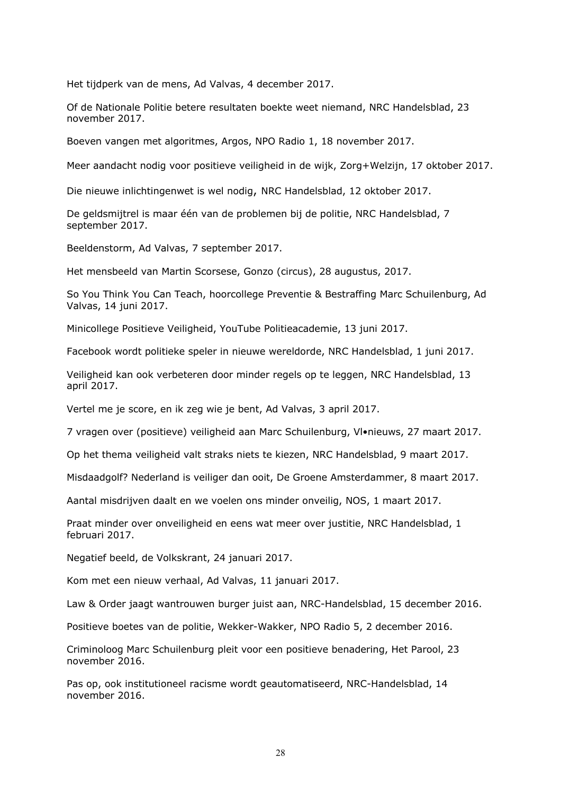Het tijdperk van de mens, Ad Valvas, 4 december 2017.

Of de Nationale Politie betere resultaten boekte weet niemand, NRC Handelsblad, 23 november 2017.

Boeven vangen met algoritmes, Argos, NPO Radio 1, 18 november 2017.

Meer aandacht nodig voor positieve veiligheid in de wijk, Zorg+Welzijn, 17 oktober 2017.

Die nieuwe inlichtingenwet is wel nodig, NRC Handelsblad, 12 oktober 2017.

De geldsmijtrel is maar één van de problemen bij de politie, NRC Handelsblad, 7 september 2017.

Beeldenstorm, Ad Valvas, 7 september 2017.

Het mensbeeld van Martin Scorsese, Gonzo (circus), 28 augustus, 2017.

So You Think You Can Teach, hoorcollege Preventie & Bestraffing Marc Schuilenburg, Ad Valvas, 14 juni 2017.

Minicollege Positieve Veiligheid, YouTube Politieacademie, 13 juni 2017.

Facebook wordt politieke speler in nieuwe wereldorde, NRC Handelsblad, 1 juni 2017.

Veiligheid kan ook verbeteren door minder regels op te leggen, NRC Handelsblad, 13 april 2017.

Vertel me je score, en ik zeg wie je bent, Ad Valvas, 3 april 2017.

7 vragen over (positieve) veiligheid aan Marc Schuilenburg, Vl•nieuws, 27 maart 2017.

Op het thema veiligheid valt straks niets te kiezen, NRC Handelsblad, 9 maart 2017.

Misdaadgolf? Nederland is veiliger dan ooit, De Groene Amsterdammer, 8 maart 2017.

Aantal misdrijven daalt en we voelen ons minder onveilig, NOS, 1 maart 2017.

Praat minder over onveiligheid en eens wat meer over justitie, NRC Handelsblad, 1 februari 2017.

Negatief beeld, de Volkskrant, 24 januari 2017.

Kom met een nieuw verhaal, Ad Valvas, 11 januari 2017.

Law & Order jaagt wantrouwen burger juist aan, NRC-Handelsblad, 15 december 2016.

Positieve boetes van de politie, Wekker-Wakker, NPO Radio 5, 2 december 2016.

Criminoloog Marc Schuilenburg pleit voor een positieve benadering, Het Parool, 23 november 2016.

Pas op, ook institutioneel racisme wordt geautomatiseerd, NRC-Handelsblad, 14 november 2016.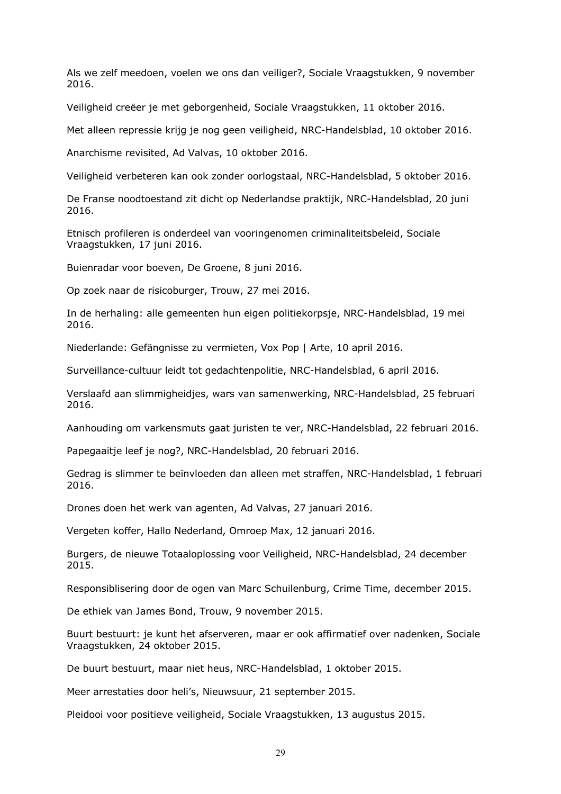Als we zelf meedoen, voelen we ons dan veiliger?, Sociale Vraagstukken, 9 november 2016.

Veiligheid creëer je met geborgenheid, Sociale Vraagstukken, 11 oktober 2016.

Met alleen repressie krijg je nog geen veiligheid, NRC-Handelsblad, 10 oktober 2016.

Anarchisme revisited, Ad Valvas, 10 oktober 2016.

Veiligheid verbeteren kan ook zonder oorlogstaal, NRC-Handelsblad, 5 oktober 2016.

De Franse noodtoestand zit dicht op Nederlandse praktijk, NRC-Handelsblad, 20 juni 2016.

Etnisch profileren is onderdeel van vooringenomen criminaliteitsbeleid, Sociale Vraagstukken, 17 juni 2016.

Buienradar voor boeven, De Groene, 8 juni 2016.

Op zoek naar de risicoburger, Trouw, 27 mei 2016.

In de herhaling: alle gemeenten hun eigen politiekorpsje, NRC-Handelsblad, 19 mei 2016.

Niederlande: Gefängnisse zu vermieten, Vox Pop | Arte, 10 april 2016.

Surveillance-cultuur leidt tot gedachtenpolitie, NRC-Handelsblad, 6 april 2016.

Verslaafd aan slimmigheidjes, wars van samenwerking, NRC-Handelsblad, 25 februari 2016.

Aanhouding om varkensmuts gaat juristen te ver, NRC-Handelsblad, 22 februari 2016.

Papegaaitje leef je nog?, NRC-Handelsblad, 20 februari 2016.

Gedrag is slimmer te beïnvloeden dan alleen met straffen, NRC-Handelsblad, 1 februari 2016.

Drones doen het werk van agenten, Ad Valvas, 27 januari 2016.

Vergeten koffer, Hallo Nederland, Omroep Max, 12 januari 2016.

Burgers, de nieuwe Totaaloplossing voor Veiligheid, NRC-Handelsblad, 24 december 2015.

Responsiblisering door de ogen van Marc Schuilenburg, Crime Time, december 2015.

De ethiek van James Bond, Trouw, 9 november 2015.

Buurt bestuurt: je kunt het afserveren, maar er ook affirmatief over nadenken, Sociale Vraagstukken, 24 oktober 2015.

De buurt bestuurt, maar niet heus, NRC-Handelsblad, 1 oktober 2015.

Meer arrestaties door heli's, Nieuwsuur, 21 september 2015.

Pleidooi voor positieve veiligheid, Sociale Vraagstukken, 13 augustus 2015.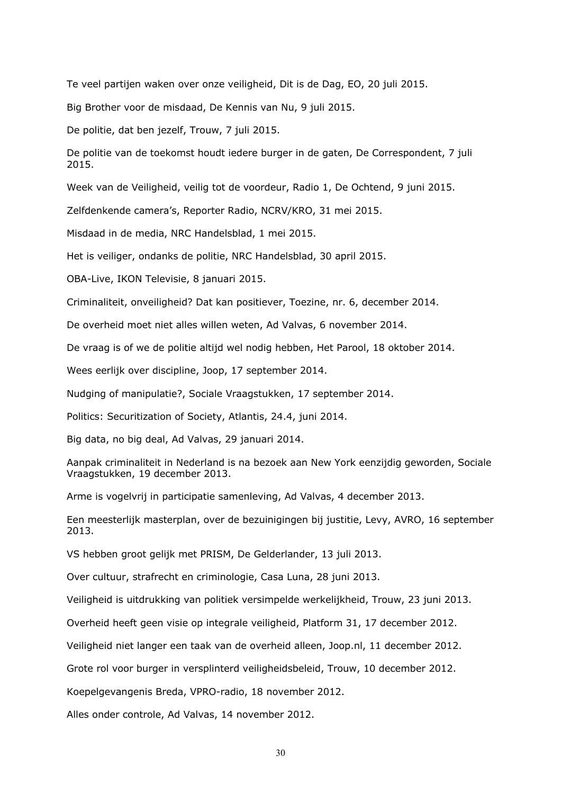Te veel partijen waken over onze veiligheid, Dit is de Dag, EO, 20 juli 2015.

Big Brother voor de misdaad, De Kennis van Nu, 9 juli 2015.

De politie, dat ben jezelf, Trouw, 7 juli 2015.

De politie van de toekomst houdt iedere burger in de gaten, De Correspondent, 7 juli 2015.

Week van de Veiligheid, veilig tot de voordeur, Radio 1, De Ochtend, 9 juni 2015.

Zelfdenkende camera's, Reporter Radio, NCRV/KRO, 31 mei 2015.

Misdaad in de media, NRC Handelsblad, 1 mei 2015.

Het is veiliger, ondanks de politie, NRC Handelsblad, 30 april 2015.

OBA-Live, IKON Televisie, 8 januari 2015.

Criminaliteit, onveiligheid? Dat kan positiever, Toezine, nr. 6, december 2014.

De overheid moet niet alles willen weten, Ad Valvas, 6 november 2014.

De vraag is of we de politie altijd wel nodig hebben, Het Parool, 18 oktober 2014.

Wees eerlijk over discipline, Joop, 17 september 2014.

Nudging of manipulatie?, Sociale Vraagstukken, 17 september 2014.

Politics: Securitization of Society, Atlantis, 24.4, juni 2014.

Big data, no big deal, Ad Valvas, 29 januari 2014.

Aanpak criminaliteit in Nederland is na bezoek aan New York eenzijdig geworden, Sociale Vraagstukken, 19 december 2013.

Arme is vogelvrij in participatie samenleving, Ad Valvas, 4 december 2013.

Een meesterlijk masterplan, over de bezuinigingen bij justitie, Levy, AVRO, 16 september 2013.

VS hebben groot gelijk met PRISM, De Gelderlander, 13 juli 2013.

Over cultuur, strafrecht en criminologie, Casa Luna, 28 juni 2013.

Veiligheid is uitdrukking van politiek versimpelde werkelijkheid, Trouw, 23 juni 2013.

Overheid heeft geen visie op integrale veiligheid, Platform 31, 17 december 2012.

Veiligheid niet langer een taak van de overheid alleen, Joop.nl, 11 december 2012.

Grote rol voor burger in versplinterd veiligheidsbeleid, Trouw, 10 december 2012.

Koepelgevangenis Breda, VPRO-radio, 18 november 2012.

Alles onder controle, Ad Valvas, 14 november 2012.